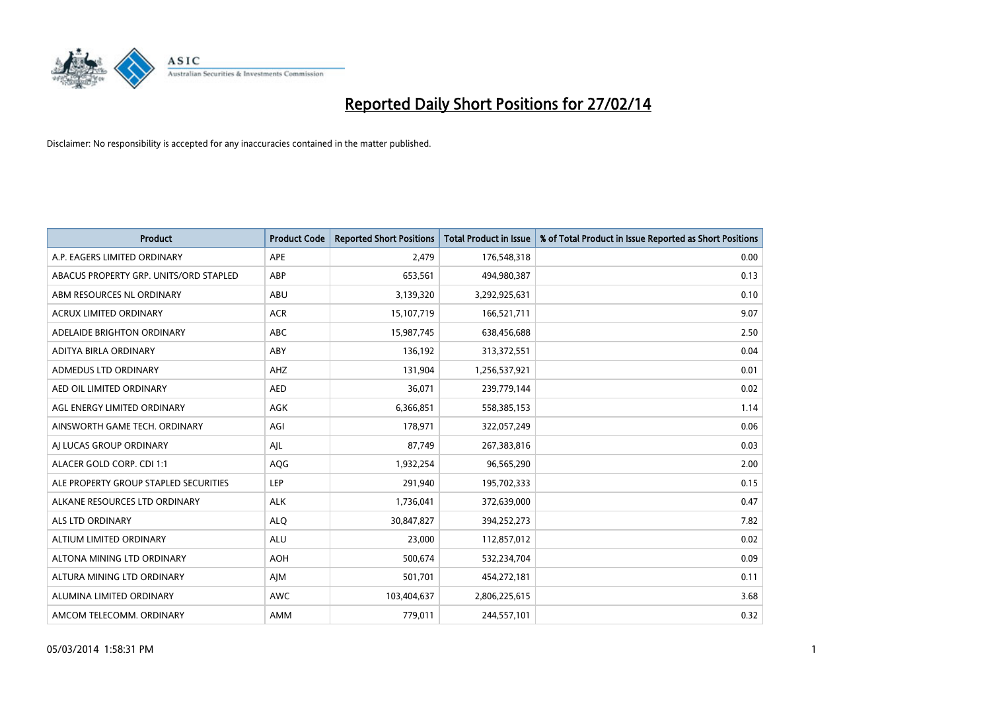

| <b>Product</b>                         | <b>Product Code</b> | <b>Reported Short Positions</b> | <b>Total Product in Issue</b> | % of Total Product in Issue Reported as Short Positions |
|----------------------------------------|---------------------|---------------------------------|-------------------------------|---------------------------------------------------------|
| A.P. EAGERS LIMITED ORDINARY           | APE                 | 2,479                           | 176,548,318                   | 0.00                                                    |
| ABACUS PROPERTY GRP. UNITS/ORD STAPLED | ABP                 | 653,561                         | 494,980,387                   | 0.13                                                    |
| ABM RESOURCES NL ORDINARY              | ABU                 | 3,139,320                       | 3,292,925,631                 | 0.10                                                    |
| ACRUX LIMITED ORDINARY                 | <b>ACR</b>          | 15,107,719                      | 166,521,711                   | 9.07                                                    |
| ADELAIDE BRIGHTON ORDINARY             | <b>ABC</b>          | 15,987,745                      | 638,456,688                   | 2.50                                                    |
| ADITYA BIRLA ORDINARY                  | ABY                 | 136,192                         | 313,372,551                   | 0.04                                                    |
| ADMEDUS LTD ORDINARY                   | AHZ                 | 131,904                         | 1,256,537,921                 | 0.01                                                    |
| AED OIL LIMITED ORDINARY               | <b>AED</b>          | 36,071                          | 239,779,144                   | 0.02                                                    |
| AGL ENERGY LIMITED ORDINARY            | <b>AGK</b>          | 6,366,851                       | 558,385,153                   | 1.14                                                    |
| AINSWORTH GAME TECH. ORDINARY          | AGI                 | 178,971                         | 322,057,249                   | 0.06                                                    |
| AI LUCAS GROUP ORDINARY                | AJL                 | 87,749                          | 267,383,816                   | 0.03                                                    |
| ALACER GOLD CORP. CDI 1:1              | AQG                 | 1,932,254                       | 96,565,290                    | 2.00                                                    |
| ALE PROPERTY GROUP STAPLED SECURITIES  | <b>LEP</b>          | 291,940                         | 195,702,333                   | 0.15                                                    |
| ALKANE RESOURCES LTD ORDINARY          | <b>ALK</b>          | 1,736,041                       | 372,639,000                   | 0.47                                                    |
| ALS LTD ORDINARY                       | <b>ALQ</b>          | 30,847,827                      | 394,252,273                   | 7.82                                                    |
| ALTIUM LIMITED ORDINARY                | <b>ALU</b>          | 23,000                          | 112,857,012                   | 0.02                                                    |
| ALTONA MINING LTD ORDINARY             | <b>AOH</b>          | 500,674                         | 532,234,704                   | 0.09                                                    |
| ALTURA MINING LTD ORDINARY             | AJM                 | 501,701                         | 454,272,181                   | 0.11                                                    |
| ALUMINA LIMITED ORDINARY               | <b>AWC</b>          | 103,404,637                     | 2,806,225,615                 | 3.68                                                    |
| AMCOM TELECOMM. ORDINARY               | AMM                 | 779,011                         | 244,557,101                   | 0.32                                                    |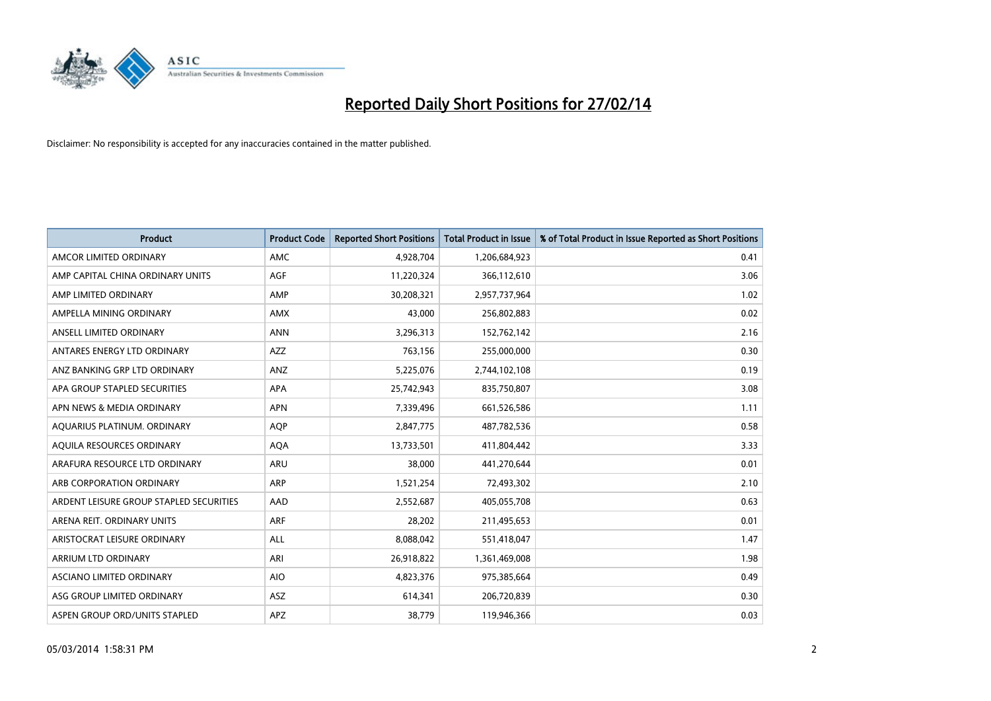

| <b>Product</b>                          | <b>Product Code</b> | <b>Reported Short Positions</b> | <b>Total Product in Issue</b> | % of Total Product in Issue Reported as Short Positions |
|-----------------------------------------|---------------------|---------------------------------|-------------------------------|---------------------------------------------------------|
| AMCOR LIMITED ORDINARY                  | AMC                 | 4,928,704                       | 1,206,684,923                 | 0.41                                                    |
| AMP CAPITAL CHINA ORDINARY UNITS        | AGF                 | 11,220,324                      | 366,112,610                   | 3.06                                                    |
| AMP LIMITED ORDINARY                    | AMP                 | 30,208,321                      | 2,957,737,964                 | 1.02                                                    |
| AMPELLA MINING ORDINARY                 | <b>AMX</b>          | 43,000                          | 256,802,883                   | 0.02                                                    |
| ANSELL LIMITED ORDINARY                 | <b>ANN</b>          | 3,296,313                       | 152,762,142                   | 2.16                                                    |
| ANTARES ENERGY LTD ORDINARY             | AZZ                 | 763,156                         | 255,000,000                   | 0.30                                                    |
| ANZ BANKING GRP LTD ORDINARY            | <b>ANZ</b>          | 5,225,076                       | 2,744,102,108                 | 0.19                                                    |
| APA GROUP STAPLED SECURITIES            | APA                 | 25,742,943                      | 835,750,807                   | 3.08                                                    |
| APN NEWS & MEDIA ORDINARY               | <b>APN</b>          | 7,339,496                       | 661,526,586                   | 1.11                                                    |
| AQUARIUS PLATINUM. ORDINARY             | <b>AOP</b>          | 2,847,775                       | 487,782,536                   | 0.58                                                    |
| AQUILA RESOURCES ORDINARY               | <b>AQA</b>          | 13,733,501                      | 411,804,442                   | 3.33                                                    |
| ARAFURA RESOURCE LTD ORDINARY           | ARU                 | 38,000                          | 441,270,644                   | 0.01                                                    |
| ARB CORPORATION ORDINARY                | <b>ARP</b>          | 1,521,254                       | 72,493,302                    | 2.10                                                    |
| ARDENT LEISURE GROUP STAPLED SECURITIES | AAD                 | 2,552,687                       | 405,055,708                   | 0.63                                                    |
| ARENA REIT. ORDINARY UNITS              | <b>ARF</b>          | 28,202                          | 211,495,653                   | 0.01                                                    |
| ARISTOCRAT LEISURE ORDINARY             | ALL                 | 8,088,042                       | 551,418,047                   | 1.47                                                    |
| ARRIUM LTD ORDINARY                     | ARI                 | 26,918,822                      | 1,361,469,008                 | 1.98                                                    |
| ASCIANO LIMITED ORDINARY                | <b>AIO</b>          | 4,823,376                       | 975,385,664                   | 0.49                                                    |
| ASG GROUP LIMITED ORDINARY              | <b>ASZ</b>          | 614,341                         | 206,720,839                   | 0.30                                                    |
| ASPEN GROUP ORD/UNITS STAPLED           | APZ                 | 38,779                          | 119,946,366                   | 0.03                                                    |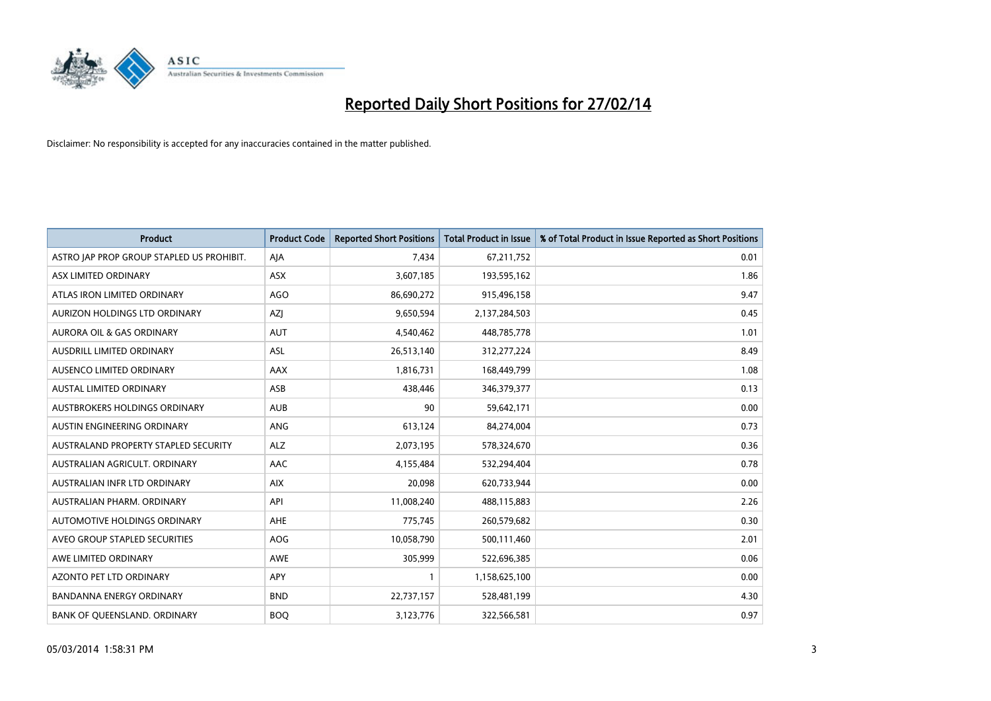

| <b>Product</b>                            | <b>Product Code</b> | <b>Reported Short Positions</b> | <b>Total Product in Issue</b> | % of Total Product in Issue Reported as Short Positions |
|-------------------------------------------|---------------------|---------------------------------|-------------------------------|---------------------------------------------------------|
| ASTRO JAP PROP GROUP STAPLED US PROHIBIT. | AJA                 | 7,434                           | 67,211,752                    | 0.01                                                    |
| ASX LIMITED ORDINARY                      | ASX                 | 3,607,185                       | 193,595,162                   | 1.86                                                    |
| ATLAS IRON LIMITED ORDINARY               | AGO                 | 86,690,272                      | 915,496,158                   | 9.47                                                    |
| AURIZON HOLDINGS LTD ORDINARY             | AZJ                 | 9,650,594                       | 2,137,284,503                 | 0.45                                                    |
| <b>AURORA OIL &amp; GAS ORDINARY</b>      | <b>AUT</b>          | 4,540,462                       | 448,785,778                   | 1.01                                                    |
| AUSDRILL LIMITED ORDINARY                 | <b>ASL</b>          | 26,513,140                      | 312,277,224                   | 8.49                                                    |
| AUSENCO LIMITED ORDINARY                  | AAX                 | 1,816,731                       | 168,449,799                   | 1.08                                                    |
| AUSTAL LIMITED ORDINARY                   | ASB                 | 438,446                         | 346,379,377                   | 0.13                                                    |
| AUSTBROKERS HOLDINGS ORDINARY             | <b>AUB</b>          | 90                              | 59,642,171                    | 0.00                                                    |
| AUSTIN ENGINEERING ORDINARY               | ANG                 | 613,124                         | 84,274,004                    | 0.73                                                    |
| AUSTRALAND PROPERTY STAPLED SECURITY      | <b>ALZ</b>          | 2,073,195                       | 578,324,670                   | 0.36                                                    |
| AUSTRALIAN AGRICULT, ORDINARY             | AAC                 | 4,155,484                       | 532,294,404                   | 0.78                                                    |
| AUSTRALIAN INFR LTD ORDINARY              | <b>AIX</b>          | 20,098                          | 620,733,944                   | 0.00                                                    |
| AUSTRALIAN PHARM. ORDINARY                | API                 | 11,008,240                      | 488,115,883                   | 2.26                                                    |
| AUTOMOTIVE HOLDINGS ORDINARY              | AHE                 | 775,745                         | 260,579,682                   | 0.30                                                    |
| AVEO GROUP STAPLED SECURITIES             | AOG                 | 10,058,790                      | 500,111,460                   | 2.01                                                    |
| AWE LIMITED ORDINARY                      | AWE                 | 305,999                         | 522,696,385                   | 0.06                                                    |
| AZONTO PET LTD ORDINARY                   | APY                 | $\mathbf{1}$                    | 1,158,625,100                 | 0.00                                                    |
| <b>BANDANNA ENERGY ORDINARY</b>           | <b>BND</b>          | 22,737,157                      | 528,481,199                   | 4.30                                                    |
| BANK OF QUEENSLAND. ORDINARY              | <b>BOQ</b>          | 3,123,776                       | 322,566,581                   | 0.97                                                    |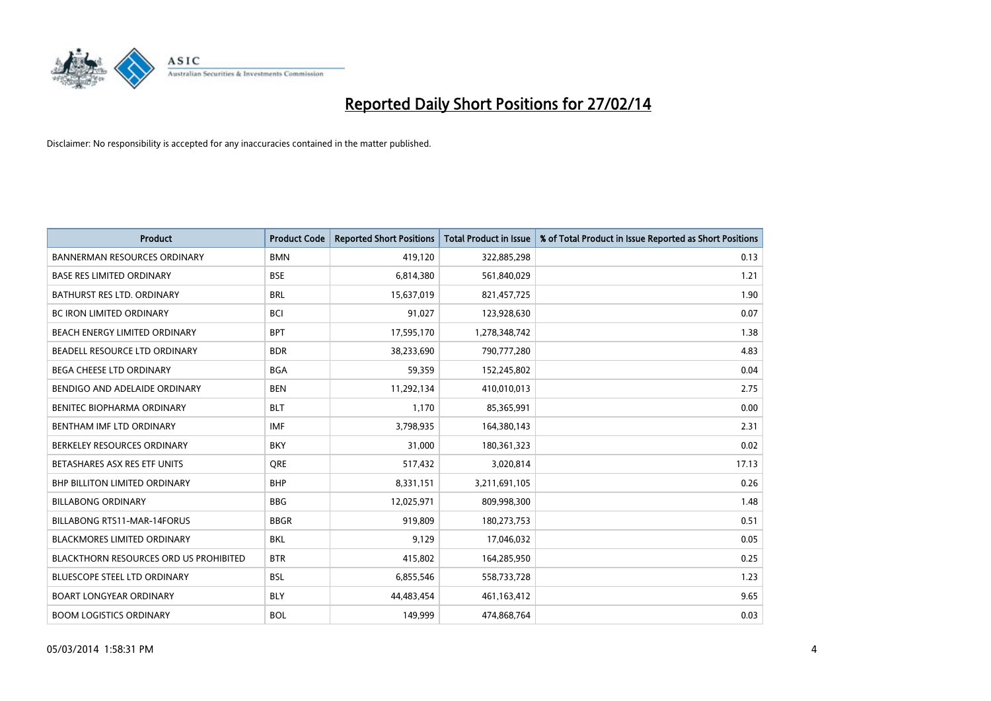

| <b>Product</b>                         | <b>Product Code</b> | <b>Reported Short Positions</b> | <b>Total Product in Issue</b> | % of Total Product in Issue Reported as Short Positions |
|----------------------------------------|---------------------|---------------------------------|-------------------------------|---------------------------------------------------------|
| <b>BANNERMAN RESOURCES ORDINARY</b>    | <b>BMN</b>          | 419.120                         | 322,885,298                   | 0.13                                                    |
| <b>BASE RES LIMITED ORDINARY</b>       | <b>BSE</b>          | 6,814,380                       | 561,840,029                   | 1.21                                                    |
| BATHURST RES LTD. ORDINARY             | <b>BRL</b>          | 15,637,019                      | 821,457,725                   | 1.90                                                    |
| <b>BC IRON LIMITED ORDINARY</b>        | <b>BCI</b>          | 91,027                          | 123,928,630                   | 0.07                                                    |
| BEACH ENERGY LIMITED ORDINARY          | <b>BPT</b>          | 17,595,170                      | 1,278,348,742                 | 1.38                                                    |
| BEADELL RESOURCE LTD ORDINARY          | <b>BDR</b>          | 38,233,690                      | 790,777,280                   | 4.83                                                    |
| <b>BEGA CHEESE LTD ORDINARY</b>        | <b>BGA</b>          | 59,359                          | 152,245,802                   | 0.04                                                    |
| BENDIGO AND ADELAIDE ORDINARY          | <b>BEN</b>          | 11,292,134                      | 410,010,013                   | 2.75                                                    |
| BENITEC BIOPHARMA ORDINARY             | <b>BLT</b>          | 1,170                           | 85,365,991                    | 0.00                                                    |
| BENTHAM IMF LTD ORDINARY               | <b>IMF</b>          | 3,798,935                       | 164,380,143                   | 2.31                                                    |
| BERKELEY RESOURCES ORDINARY            | <b>BKY</b>          | 31,000                          | 180,361,323                   | 0.02                                                    |
| BETASHARES ASX RES ETF UNITS           | <b>ORE</b>          | 517,432                         | 3,020,814                     | 17.13                                                   |
| <b>BHP BILLITON LIMITED ORDINARY</b>   | <b>BHP</b>          | 8,331,151                       | 3,211,691,105                 | 0.26                                                    |
| <b>BILLABONG ORDINARY</b>              | <b>BBG</b>          | 12,025,971                      | 809,998,300                   | 1.48                                                    |
| <b>BILLABONG RTS11-MAR-14FORUS</b>     | <b>BBGR</b>         | 919.809                         | 180,273,753                   | 0.51                                                    |
| <b>BLACKMORES LIMITED ORDINARY</b>     | <b>BKL</b>          | 9,129                           | 17,046,032                    | 0.05                                                    |
| BLACKTHORN RESOURCES ORD US PROHIBITED | <b>BTR</b>          | 415,802                         | 164,285,950                   | 0.25                                                    |
| BLUESCOPE STEEL LTD ORDINARY           | <b>BSL</b>          | 6,855,546                       | 558,733,728                   | 1.23                                                    |
| <b>BOART LONGYEAR ORDINARY</b>         | <b>BLY</b>          | 44,483,454                      | 461,163,412                   | 9.65                                                    |
| <b>BOOM LOGISTICS ORDINARY</b>         | <b>BOL</b>          | 149,999                         | 474,868,764                   | 0.03                                                    |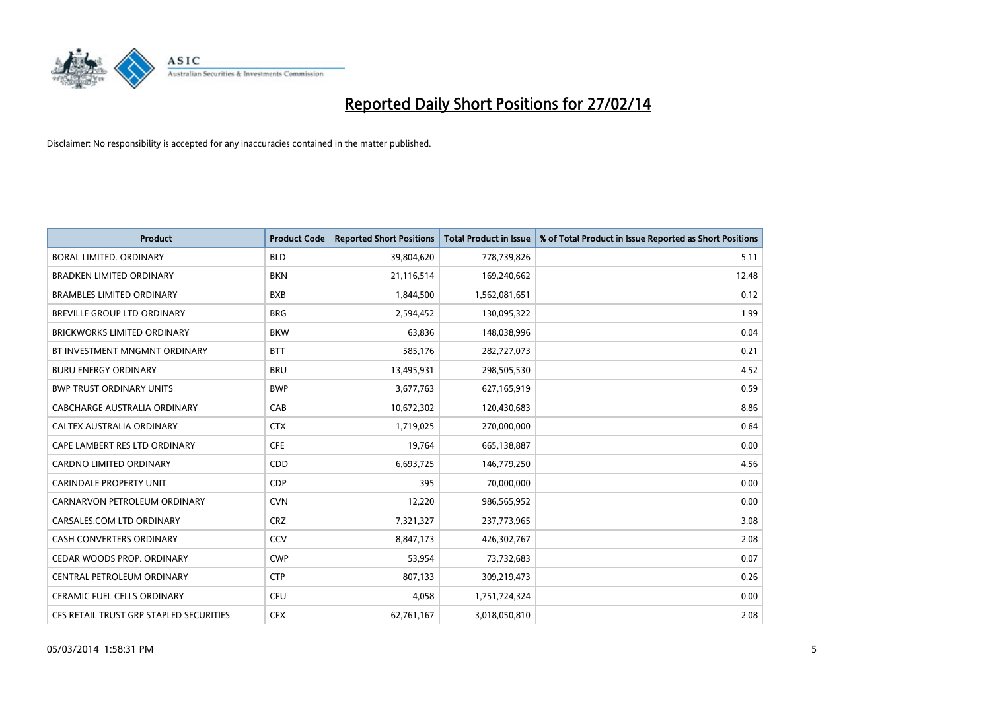

| Product                                 | <b>Product Code</b> | <b>Reported Short Positions</b> | <b>Total Product in Issue</b> | % of Total Product in Issue Reported as Short Positions |
|-----------------------------------------|---------------------|---------------------------------|-------------------------------|---------------------------------------------------------|
| <b>BORAL LIMITED, ORDINARY</b>          | <b>BLD</b>          | 39,804,620                      | 778,739,826                   | 5.11                                                    |
| <b>BRADKEN LIMITED ORDINARY</b>         | <b>BKN</b>          | 21,116,514                      | 169,240,662                   | 12.48                                                   |
| <b>BRAMBLES LIMITED ORDINARY</b>        | <b>BXB</b>          | 1,844,500                       | 1,562,081,651                 | 0.12                                                    |
| BREVILLE GROUP LTD ORDINARY             | <b>BRG</b>          | 2,594,452                       | 130,095,322                   | 1.99                                                    |
| <b>BRICKWORKS LIMITED ORDINARY</b>      | <b>BKW</b>          | 63,836                          | 148,038,996                   | 0.04                                                    |
| BT INVESTMENT MNGMNT ORDINARY           | <b>BTT</b>          | 585,176                         | 282,727,073                   | 0.21                                                    |
| <b>BURU ENERGY ORDINARY</b>             | <b>BRU</b>          | 13,495,931                      | 298,505,530                   | 4.52                                                    |
| <b>BWP TRUST ORDINARY UNITS</b>         | <b>BWP</b>          | 3,677,763                       | 627,165,919                   | 0.59                                                    |
| CABCHARGE AUSTRALIA ORDINARY            | CAB                 | 10,672,302                      | 120,430,683                   | 8.86                                                    |
| CALTEX AUSTRALIA ORDINARY               | <b>CTX</b>          | 1,719,025                       | 270,000,000                   | 0.64                                                    |
| CAPE LAMBERT RES LTD ORDINARY           | <b>CFE</b>          | 19,764                          | 665,138,887                   | 0.00                                                    |
| <b>CARDNO LIMITED ORDINARY</b>          | CDD                 | 6,693,725                       | 146,779,250                   | 4.56                                                    |
| <b>CARINDALE PROPERTY UNIT</b>          | <b>CDP</b>          | 395                             | 70,000,000                    | 0.00                                                    |
| CARNARVON PETROLEUM ORDINARY            | <b>CVN</b>          | 12,220                          | 986,565,952                   | 0.00                                                    |
| CARSALES.COM LTD ORDINARY               | <b>CRZ</b>          | 7,321,327                       | 237,773,965                   | 3.08                                                    |
| <b>CASH CONVERTERS ORDINARY</b>         | CCV                 | 8,847,173                       | 426,302,767                   | 2.08                                                    |
| CEDAR WOODS PROP. ORDINARY              | <b>CWP</b>          | 53,954                          | 73,732,683                    | 0.07                                                    |
| CENTRAL PETROLEUM ORDINARY              | <b>CTP</b>          | 807,133                         | 309,219,473                   | 0.26                                                    |
| <b>CERAMIC FUEL CELLS ORDINARY</b>      | <b>CFU</b>          | 4,058                           | 1,751,724,324                 | 0.00                                                    |
| CFS RETAIL TRUST GRP STAPLED SECURITIES | <b>CFX</b>          | 62,761,167                      | 3,018,050,810                 | 2.08                                                    |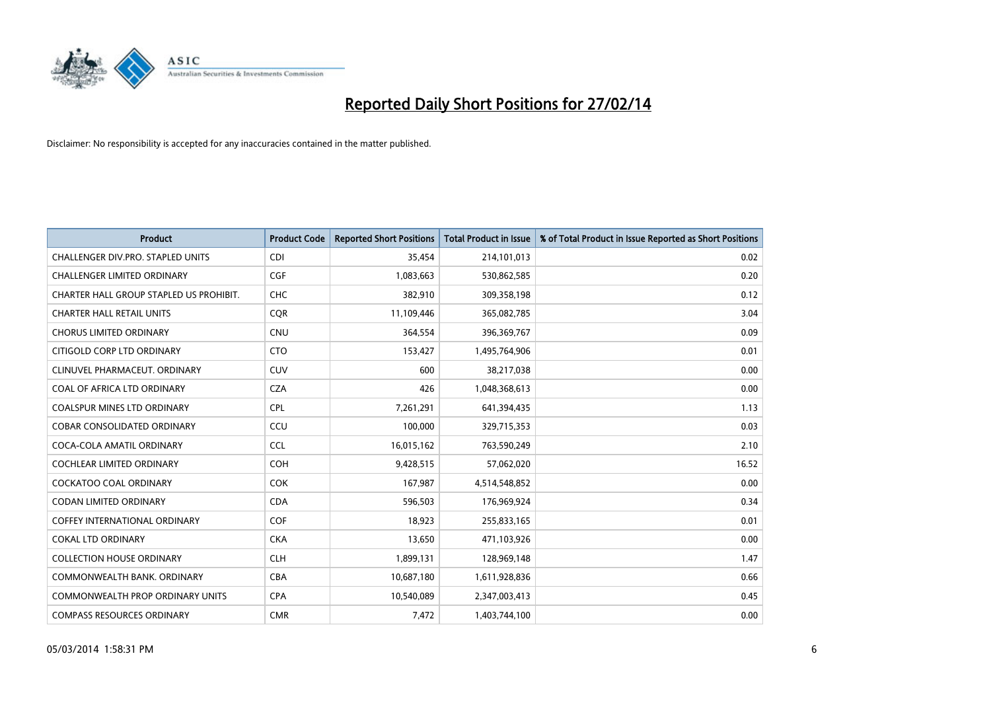

| <b>Product</b>                          | <b>Product Code</b> | <b>Reported Short Positions</b> | <b>Total Product in Issue</b> | % of Total Product in Issue Reported as Short Positions |
|-----------------------------------------|---------------------|---------------------------------|-------------------------------|---------------------------------------------------------|
| CHALLENGER DIV.PRO. STAPLED UNITS       | <b>CDI</b>          | 35,454                          | 214,101,013                   | 0.02                                                    |
| <b>CHALLENGER LIMITED ORDINARY</b>      | <b>CGF</b>          | 1,083,663                       | 530,862,585                   | 0.20                                                    |
| CHARTER HALL GROUP STAPLED US PROHIBIT. | <b>CHC</b>          | 382,910                         | 309,358,198                   | 0.12                                                    |
| <b>CHARTER HALL RETAIL UNITS</b>        | <b>COR</b>          | 11,109,446                      | 365,082,785                   | 3.04                                                    |
| <b>CHORUS LIMITED ORDINARY</b>          | <b>CNU</b>          | 364,554                         | 396,369,767                   | 0.09                                                    |
| CITIGOLD CORP LTD ORDINARY              | <b>CTO</b>          | 153,427                         | 1,495,764,906                 | 0.01                                                    |
| CLINUVEL PHARMACEUT. ORDINARY           | <b>CUV</b>          | 600                             | 38,217,038                    | 0.00                                                    |
| COAL OF AFRICA LTD ORDINARY             | <b>CZA</b>          | 426                             | 1,048,368,613                 | 0.00                                                    |
| <b>COALSPUR MINES LTD ORDINARY</b>      | <b>CPL</b>          | 7,261,291                       | 641,394,435                   | 1.13                                                    |
| <b>COBAR CONSOLIDATED ORDINARY</b>      | CCU                 | 100,000                         | 329,715,353                   | 0.03                                                    |
| COCA-COLA AMATIL ORDINARY               | <b>CCL</b>          | 16,015,162                      | 763,590,249                   | 2.10                                                    |
| <b>COCHLEAR LIMITED ORDINARY</b>        | <b>COH</b>          | 9,428,515                       | 57,062,020                    | 16.52                                                   |
| <b>COCKATOO COAL ORDINARY</b>           | <b>COK</b>          | 167,987                         | 4,514,548,852                 | 0.00                                                    |
| <b>CODAN LIMITED ORDINARY</b>           | <b>CDA</b>          | 596,503                         | 176,969,924                   | 0.34                                                    |
| <b>COFFEY INTERNATIONAL ORDINARY</b>    | <b>COF</b>          | 18,923                          | 255,833,165                   | 0.01                                                    |
| <b>COKAL LTD ORDINARY</b>               | <b>CKA</b>          | 13,650                          | 471,103,926                   | 0.00                                                    |
| <b>COLLECTION HOUSE ORDINARY</b>        | <b>CLH</b>          | 1,899,131                       | 128,969,148                   | 1.47                                                    |
| COMMONWEALTH BANK. ORDINARY             | <b>CBA</b>          | 10,687,180                      | 1,611,928,836                 | 0.66                                                    |
| <b>COMMONWEALTH PROP ORDINARY UNITS</b> | <b>CPA</b>          | 10,540,089                      | 2,347,003,413                 | 0.45                                                    |
| <b>COMPASS RESOURCES ORDINARY</b>       | <b>CMR</b>          | 7,472                           | 1,403,744,100                 | 0.00                                                    |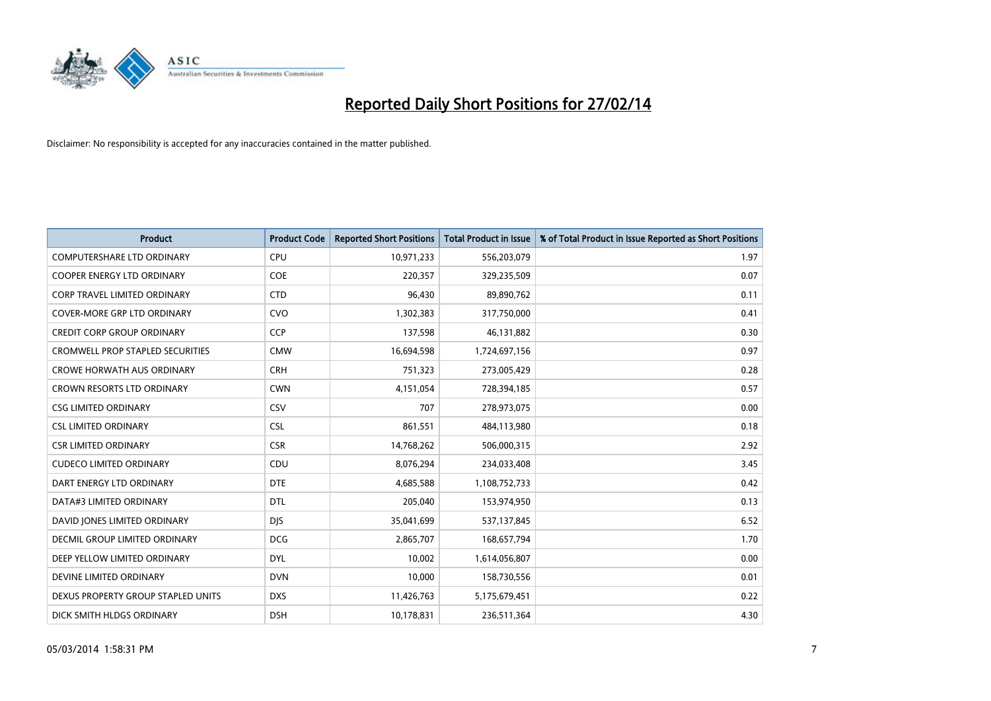

| Product                                 | <b>Product Code</b> | <b>Reported Short Positions</b> | <b>Total Product in Issue</b> | % of Total Product in Issue Reported as Short Positions |
|-----------------------------------------|---------------------|---------------------------------|-------------------------------|---------------------------------------------------------|
| <b>COMPUTERSHARE LTD ORDINARY</b>       | <b>CPU</b>          | 10,971,233                      | 556,203,079                   | 1.97                                                    |
| COOPER ENERGY LTD ORDINARY              | <b>COE</b>          | 220,357                         | 329,235,509                   | 0.07                                                    |
| <b>CORP TRAVEL LIMITED ORDINARY</b>     | <b>CTD</b>          | 96,430                          | 89,890,762                    | 0.11                                                    |
| COVER-MORE GRP LTD ORDINARY             | <b>CVO</b>          | 1,302,383                       | 317,750,000                   | 0.41                                                    |
| <b>CREDIT CORP GROUP ORDINARY</b>       | <b>CCP</b>          | 137,598                         | 46,131,882                    | 0.30                                                    |
| <b>CROMWELL PROP STAPLED SECURITIES</b> | <b>CMW</b>          | 16,694,598                      | 1,724,697,156                 | 0.97                                                    |
| <b>CROWE HORWATH AUS ORDINARY</b>       | <b>CRH</b>          | 751,323                         | 273,005,429                   | 0.28                                                    |
| CROWN RESORTS LTD ORDINARY              | <b>CWN</b>          | 4,151,054                       | 728,394,185                   | 0.57                                                    |
| <b>CSG LIMITED ORDINARY</b>             | CSV                 | 707                             | 278,973,075                   | 0.00                                                    |
| <b>CSL LIMITED ORDINARY</b>             | <b>CSL</b>          | 861,551                         | 484,113,980                   | 0.18                                                    |
| <b>CSR LIMITED ORDINARY</b>             | <b>CSR</b>          | 14,768,262                      | 506,000,315                   | 2.92                                                    |
| <b>CUDECO LIMITED ORDINARY</b>          | CDU                 | 8,076,294                       | 234,033,408                   | 3.45                                                    |
| DART ENERGY LTD ORDINARY                | <b>DTE</b>          | 4,685,588                       | 1,108,752,733                 | 0.42                                                    |
| DATA#3 LIMITED ORDINARY                 | <b>DTL</b>          | 205,040                         | 153,974,950                   | 0.13                                                    |
| DAVID JONES LIMITED ORDINARY            | <b>DJS</b>          | 35,041,699                      | 537,137,845                   | 6.52                                                    |
| DECMIL GROUP LIMITED ORDINARY           | <b>DCG</b>          | 2,865,707                       | 168,657,794                   | 1.70                                                    |
| DEEP YELLOW LIMITED ORDINARY            | DYL                 | 10,002                          | 1,614,056,807                 | 0.00                                                    |
| DEVINE LIMITED ORDINARY                 | <b>DVN</b>          | 10,000                          | 158,730,556                   | 0.01                                                    |
| DEXUS PROPERTY GROUP STAPLED UNITS      | <b>DXS</b>          | 11,426,763                      | 5,175,679,451                 | 0.22                                                    |
| DICK SMITH HLDGS ORDINARY               | <b>DSH</b>          | 10,178,831                      | 236,511,364                   | 4.30                                                    |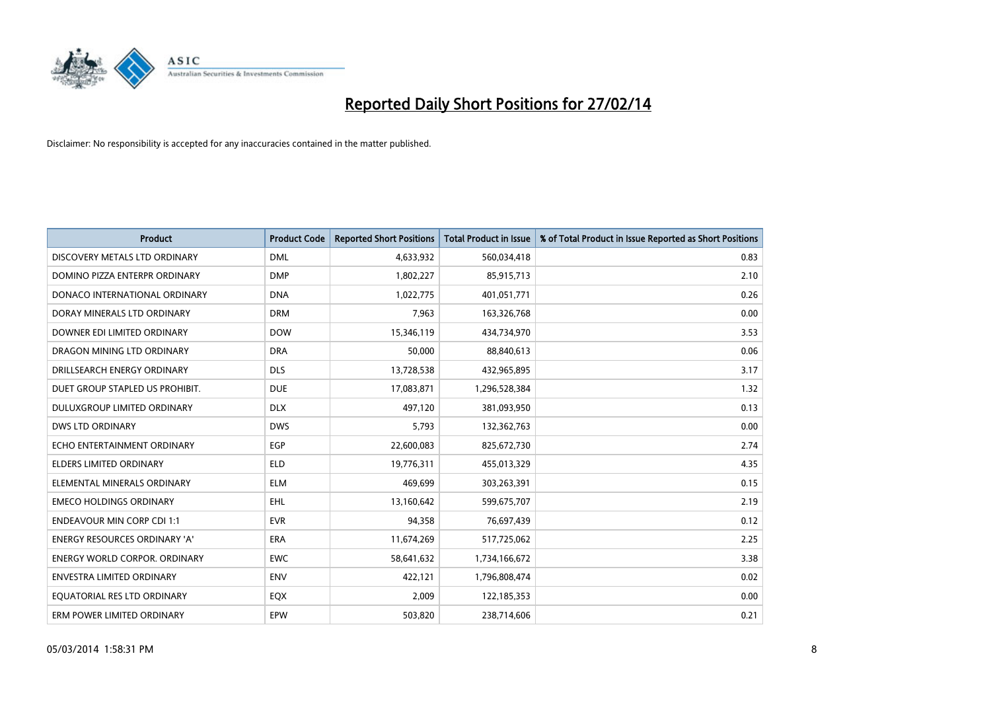

| <b>Product</b>                       | <b>Product Code</b> | <b>Reported Short Positions</b> | <b>Total Product in Issue</b> | % of Total Product in Issue Reported as Short Positions |
|--------------------------------------|---------------------|---------------------------------|-------------------------------|---------------------------------------------------------|
| DISCOVERY METALS LTD ORDINARY        | <b>DML</b>          | 4,633,932                       | 560,034,418                   | 0.83                                                    |
| DOMINO PIZZA ENTERPR ORDINARY        | <b>DMP</b>          | 1,802,227                       | 85,915,713                    | 2.10                                                    |
| DONACO INTERNATIONAL ORDINARY        | <b>DNA</b>          | 1,022,775                       | 401,051,771                   | 0.26                                                    |
| DORAY MINERALS LTD ORDINARY          | <b>DRM</b>          | 7,963                           | 163,326,768                   | 0.00                                                    |
| DOWNER EDI LIMITED ORDINARY          | <b>DOW</b>          | 15,346,119                      | 434,734,970                   | 3.53                                                    |
| DRAGON MINING LTD ORDINARY           | <b>DRA</b>          | 50,000                          | 88,840,613                    | 0.06                                                    |
| DRILLSEARCH ENERGY ORDINARY          | <b>DLS</b>          | 13,728,538                      | 432,965,895                   | 3.17                                                    |
| DUET GROUP STAPLED US PROHIBIT.      | <b>DUE</b>          | 17,083,871                      | 1,296,528,384                 | 1.32                                                    |
| DULUXGROUP LIMITED ORDINARY          | <b>DLX</b>          | 497,120                         | 381,093,950                   | 0.13                                                    |
| <b>DWS LTD ORDINARY</b>              | <b>DWS</b>          | 5,793                           | 132,362,763                   | 0.00                                                    |
| ECHO ENTERTAINMENT ORDINARY          | <b>EGP</b>          | 22,600,083                      | 825,672,730                   | 2.74                                                    |
| <b>ELDERS LIMITED ORDINARY</b>       | <b>ELD</b>          | 19,776,311                      | 455,013,329                   | 4.35                                                    |
| ELEMENTAL MINERALS ORDINARY          | <b>ELM</b>          | 469,699                         | 303,263,391                   | 0.15                                                    |
| <b>EMECO HOLDINGS ORDINARY</b>       | <b>EHL</b>          | 13,160,642                      | 599,675,707                   | 2.19                                                    |
| <b>ENDEAVOUR MIN CORP CDI 1:1</b>    | <b>EVR</b>          | 94,358                          | 76,697,439                    | 0.12                                                    |
| <b>ENERGY RESOURCES ORDINARY 'A'</b> | ERA                 | 11,674,269                      | 517,725,062                   | 2.25                                                    |
| <b>ENERGY WORLD CORPOR. ORDINARY</b> | <b>EWC</b>          | 58,641,632                      | 1,734,166,672                 | 3.38                                                    |
| ENVESTRA LIMITED ORDINARY            | <b>ENV</b>          | 422,121                         | 1,796,808,474                 | 0.02                                                    |
| EQUATORIAL RES LTD ORDINARY          | EQX                 | 2,009                           | 122,185,353                   | 0.00                                                    |
| ERM POWER LIMITED ORDINARY           | EPW                 | 503,820                         | 238,714,606                   | 0.21                                                    |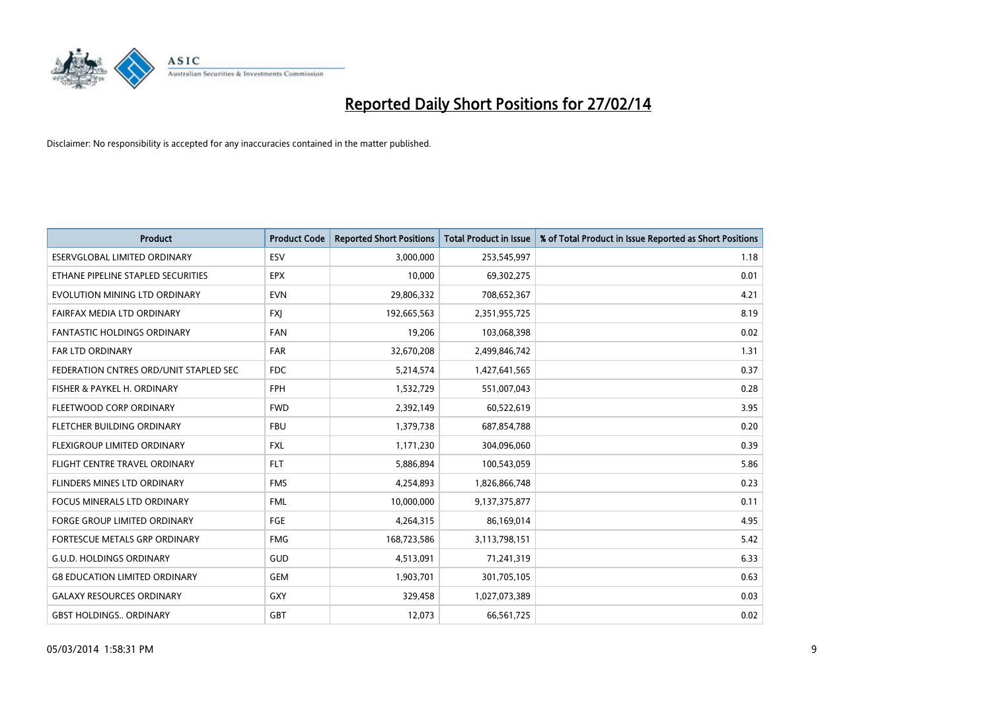

| <b>Product</b>                         | <b>Product Code</b> | <b>Reported Short Positions</b> | <b>Total Product in Issue</b> | % of Total Product in Issue Reported as Short Positions |
|----------------------------------------|---------------------|---------------------------------|-------------------------------|---------------------------------------------------------|
| ESERVGLOBAL LIMITED ORDINARY           | ESV                 | 3,000,000                       | 253,545,997                   | 1.18                                                    |
| ETHANE PIPELINE STAPLED SECURITIES     | <b>EPX</b>          | 10,000                          | 69,302,275                    | 0.01                                                    |
| EVOLUTION MINING LTD ORDINARY          | <b>EVN</b>          | 29,806,332                      | 708,652,367                   | 4.21                                                    |
| FAIRFAX MEDIA LTD ORDINARY             | <b>FXJ</b>          | 192,665,563                     | 2,351,955,725                 | 8.19                                                    |
| <b>FANTASTIC HOLDINGS ORDINARY</b>     | <b>FAN</b>          | 19,206                          | 103,068,398                   | 0.02                                                    |
| <b>FAR LTD ORDINARY</b>                | <b>FAR</b>          | 32,670,208                      | 2,499,846,742                 | 1.31                                                    |
| FEDERATION CNTRES ORD/UNIT STAPLED SEC | FDC                 | 5,214,574                       | 1,427,641,565                 | 0.37                                                    |
| FISHER & PAYKEL H. ORDINARY            | <b>FPH</b>          | 1,532,729                       | 551,007,043                   | 0.28                                                    |
| FLEETWOOD CORP ORDINARY                | <b>FWD</b>          | 2,392,149                       | 60,522,619                    | 3.95                                                    |
| FLETCHER BUILDING ORDINARY             | <b>FBU</b>          | 1,379,738                       | 687,854,788                   | 0.20                                                    |
| FLEXIGROUP LIMITED ORDINARY            | FXL                 | 1,171,230                       | 304,096,060                   | 0.39                                                    |
| FLIGHT CENTRE TRAVEL ORDINARY          | <b>FLT</b>          | 5,886,894                       | 100,543,059                   | 5.86                                                    |
| FLINDERS MINES LTD ORDINARY            | <b>FMS</b>          | 4,254,893                       | 1,826,866,748                 | 0.23                                                    |
| <b>FOCUS MINERALS LTD ORDINARY</b>     | <b>FML</b>          | 10,000,000                      | 9,137,375,877                 | 0.11                                                    |
| <b>FORGE GROUP LIMITED ORDINARY</b>    | FGE                 | 4,264,315                       | 86,169,014                    | 4.95                                                    |
| FORTESCUE METALS GRP ORDINARY          | <b>FMG</b>          | 168,723,586                     | 3,113,798,151                 | 5.42                                                    |
| <b>G.U.D. HOLDINGS ORDINARY</b>        | GUD                 | 4,513,091                       | 71,241,319                    | 6.33                                                    |
| <b>G8 EDUCATION LIMITED ORDINARY</b>   | <b>GEM</b>          | 1,903,701                       | 301,705,105                   | 0.63                                                    |
| <b>GALAXY RESOURCES ORDINARY</b>       | <b>GXY</b>          | 329,458                         | 1,027,073,389                 | 0.03                                                    |
| <b>GBST HOLDINGS ORDINARY</b>          | <b>GBT</b>          | 12,073                          | 66,561,725                    | 0.02                                                    |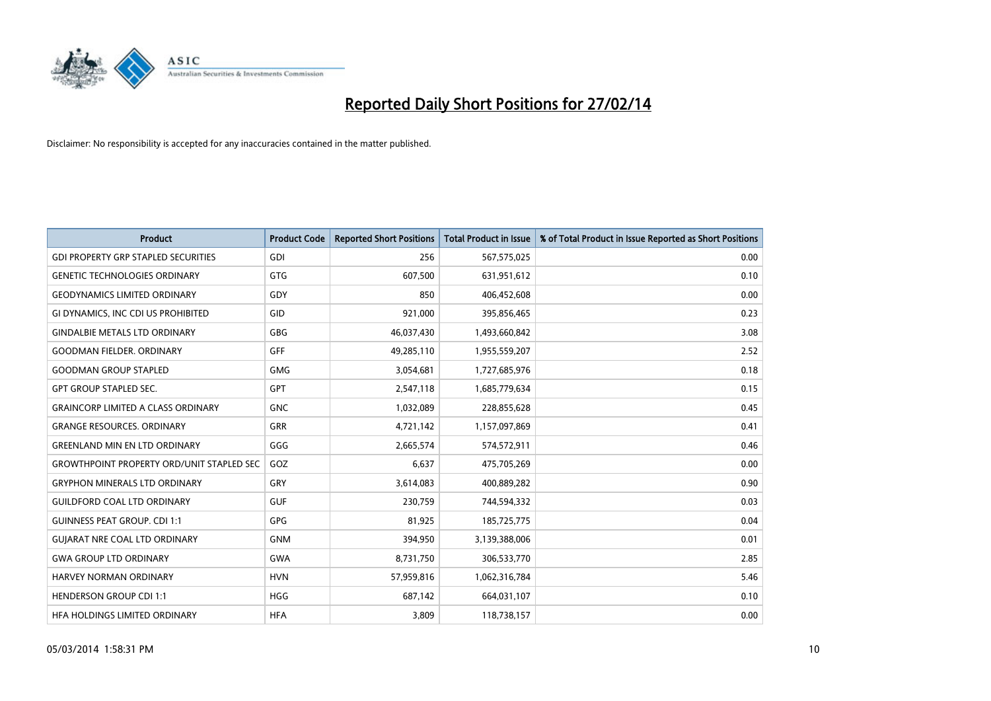

| <b>Product</b>                                   | <b>Product Code</b> | <b>Reported Short Positions</b> | <b>Total Product in Issue</b> | % of Total Product in Issue Reported as Short Positions |
|--------------------------------------------------|---------------------|---------------------------------|-------------------------------|---------------------------------------------------------|
| <b>GDI PROPERTY GRP STAPLED SECURITIES</b>       | GDI                 | 256                             | 567,575,025                   | 0.00                                                    |
| <b>GENETIC TECHNOLOGIES ORDINARY</b>             | <b>GTG</b>          | 607,500                         | 631,951,612                   | 0.10                                                    |
| <b>GEODYNAMICS LIMITED ORDINARY</b>              | <b>GDY</b>          | 850                             | 406,452,608                   | 0.00                                                    |
| GI DYNAMICS, INC CDI US PROHIBITED               | GID                 | 921,000                         | 395,856,465                   | 0.23                                                    |
| <b>GINDALBIE METALS LTD ORDINARY</b>             | <b>GBG</b>          | 46,037,430                      | 1,493,660,842                 | 3.08                                                    |
| <b>GOODMAN FIELDER, ORDINARY</b>                 | GFF                 | 49,285,110                      | 1,955,559,207                 | 2.52                                                    |
| <b>GOODMAN GROUP STAPLED</b>                     | <b>GMG</b>          | 3,054,681                       | 1,727,685,976                 | 0.18                                                    |
| <b>GPT GROUP STAPLED SEC.</b>                    | GPT                 | 2,547,118                       | 1,685,779,634                 | 0.15                                                    |
| <b>GRAINCORP LIMITED A CLASS ORDINARY</b>        | <b>GNC</b>          | 1,032,089                       | 228,855,628                   | 0.45                                                    |
| <b>GRANGE RESOURCES, ORDINARY</b>                | <b>GRR</b>          | 4,721,142                       | 1,157,097,869                 | 0.41                                                    |
| <b>GREENLAND MIN EN LTD ORDINARY</b>             | GGG                 | 2,665,574                       | 574,572,911                   | 0.46                                                    |
| <b>GROWTHPOINT PROPERTY ORD/UNIT STAPLED SEC</b> | GOZ                 | 6,637                           | 475,705,269                   | 0.00                                                    |
| <b>GRYPHON MINERALS LTD ORDINARY</b>             | GRY                 | 3,614,083                       | 400,889,282                   | 0.90                                                    |
| <b>GUILDFORD COAL LTD ORDINARY</b>               | <b>GUF</b>          | 230,759                         | 744,594,332                   | 0.03                                                    |
| <b>GUINNESS PEAT GROUP. CDI 1:1</b>              | <b>GPG</b>          | 81,925                          | 185,725,775                   | 0.04                                                    |
| <b>GUIARAT NRE COAL LTD ORDINARY</b>             | <b>GNM</b>          | 394,950                         | 3,139,388,006                 | 0.01                                                    |
| <b>GWA GROUP LTD ORDINARY</b>                    | GWA                 | 8,731,750                       | 306,533,770                   | 2.85                                                    |
| <b>HARVEY NORMAN ORDINARY</b>                    | <b>HVN</b>          | 57,959,816                      | 1,062,316,784                 | 5.46                                                    |
| <b>HENDERSON GROUP CDI 1:1</b>                   | <b>HGG</b>          | 687,142                         | 664,031,107                   | 0.10                                                    |
| HFA HOLDINGS LIMITED ORDINARY                    | <b>HFA</b>          | 3,809                           | 118,738,157                   | 0.00                                                    |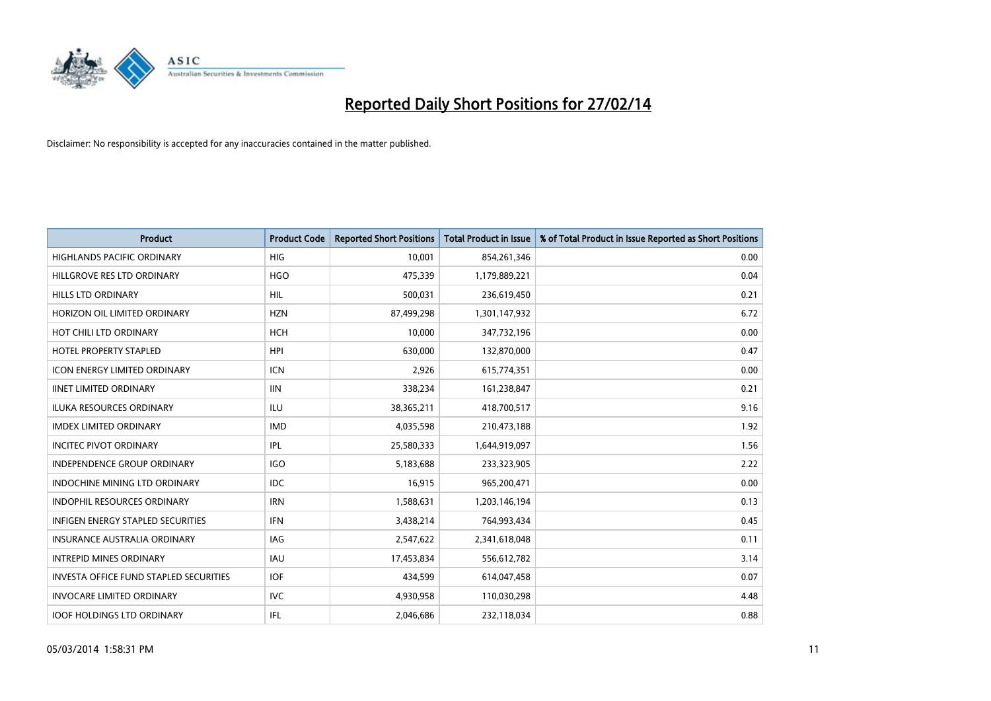

| <b>Product</b>                                | <b>Product Code</b> | <b>Reported Short Positions</b> | <b>Total Product in Issue</b> | % of Total Product in Issue Reported as Short Positions |
|-----------------------------------------------|---------------------|---------------------------------|-------------------------------|---------------------------------------------------------|
| <b>HIGHLANDS PACIFIC ORDINARY</b>             | <b>HIG</b>          | 10,001                          | 854,261,346                   | 0.00                                                    |
| HILLGROVE RES LTD ORDINARY                    | <b>HGO</b>          | 475,339                         | 1,179,889,221                 | 0.04                                                    |
| <b>HILLS LTD ORDINARY</b>                     | <b>HIL</b>          | 500,031                         | 236,619,450                   | 0.21                                                    |
| HORIZON OIL LIMITED ORDINARY                  | <b>HZN</b>          | 87,499,298                      | 1,301,147,932                 | 6.72                                                    |
| HOT CHILI LTD ORDINARY                        | <b>HCH</b>          | 10,000                          | 347,732,196                   | 0.00                                                    |
| <b>HOTEL PROPERTY STAPLED</b>                 | <b>HPI</b>          | 630,000                         | 132,870,000                   | 0.47                                                    |
| <b>ICON ENERGY LIMITED ORDINARY</b>           | <b>ICN</b>          | 2,926                           | 615,774,351                   | 0.00                                                    |
| <b>IINET LIMITED ORDINARY</b>                 | <b>IIN</b>          | 338,234                         | 161,238,847                   | 0.21                                                    |
| ILUKA RESOURCES ORDINARY                      | ILU                 | 38,365,211                      | 418,700,517                   | 9.16                                                    |
| <b>IMDEX LIMITED ORDINARY</b>                 | <b>IMD</b>          | 4,035,598                       | 210,473,188                   | 1.92                                                    |
| <b>INCITEC PIVOT ORDINARY</b>                 | IPL                 | 25,580,333                      | 1,644,919,097                 | 1.56                                                    |
| <b>INDEPENDENCE GROUP ORDINARY</b>            | <b>IGO</b>          | 5,183,688                       | 233,323,905                   | 2.22                                                    |
| <b>INDOCHINE MINING LTD ORDINARY</b>          | <b>IDC</b>          | 16.915                          | 965,200,471                   | 0.00                                                    |
| <b>INDOPHIL RESOURCES ORDINARY</b>            | <b>IRN</b>          | 1,588,631                       | 1,203,146,194                 | 0.13                                                    |
| <b>INFIGEN ENERGY STAPLED SECURITIES</b>      | <b>IFN</b>          | 3,438,214                       | 764,993,434                   | 0.45                                                    |
| <b>INSURANCE AUSTRALIA ORDINARY</b>           | <b>IAG</b>          | 2,547,622                       | 2,341,618,048                 | 0.11                                                    |
| <b>INTREPID MINES ORDINARY</b>                | <b>IAU</b>          | 17,453,834                      | 556,612,782                   | 3.14                                                    |
| <b>INVESTA OFFICE FUND STAPLED SECURITIES</b> | <b>IOF</b>          | 434,599                         | 614,047,458                   | 0.07                                                    |
| <b>INVOCARE LIMITED ORDINARY</b>              | <b>IVC</b>          | 4,930,958                       | 110,030,298                   | 4.48                                                    |
| <b>IOOF HOLDINGS LTD ORDINARY</b>             | IFL                 | 2,046,686                       | 232,118,034                   | 0.88                                                    |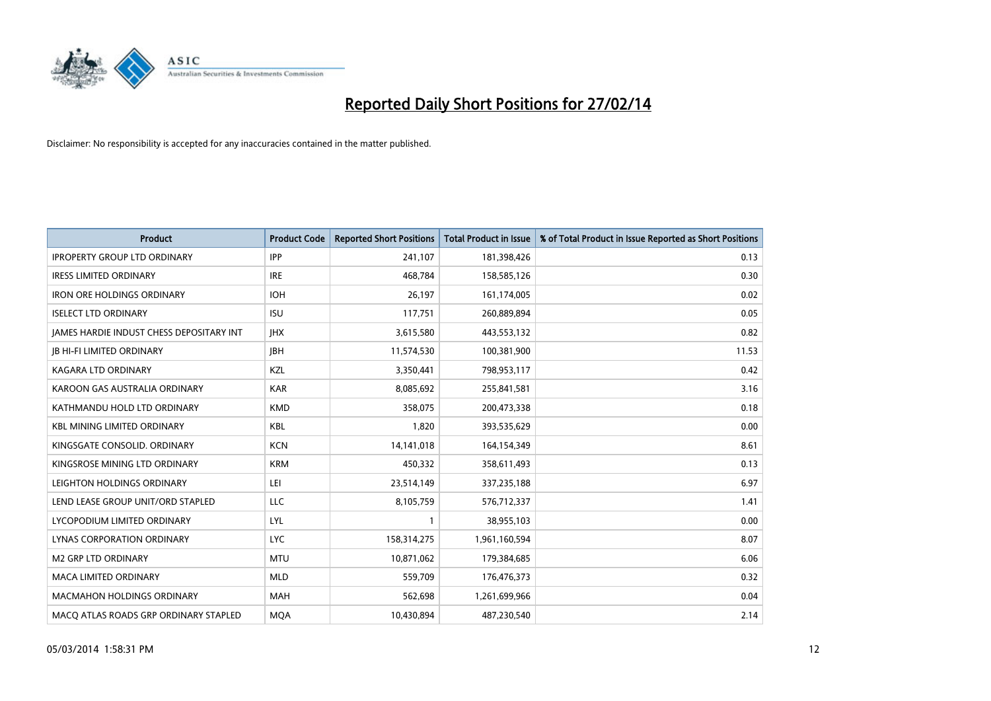

| <b>Product</b>                                  | <b>Product Code</b> | <b>Reported Short Positions</b> | <b>Total Product in Issue</b> | % of Total Product in Issue Reported as Short Positions |
|-------------------------------------------------|---------------------|---------------------------------|-------------------------------|---------------------------------------------------------|
| <b>IPROPERTY GROUP LTD ORDINARY</b>             | <b>IPP</b>          | 241,107                         | 181,398,426                   | 0.13                                                    |
| <b>IRESS LIMITED ORDINARY</b>                   | <b>IRE</b>          | 468,784                         | 158,585,126                   | 0.30                                                    |
| <b>IRON ORE HOLDINGS ORDINARY</b>               | <b>IOH</b>          | 26,197                          | 161,174,005                   | 0.02                                                    |
| <b>ISELECT LTD ORDINARY</b>                     | <b>ISU</b>          | 117,751                         | 260,889,894                   | 0.05                                                    |
| <b>IAMES HARDIE INDUST CHESS DEPOSITARY INT</b> | <b>IHX</b>          | 3,615,580                       | 443,553,132                   | 0.82                                                    |
| <b>JB HI-FI LIMITED ORDINARY</b>                | <b>JBH</b>          | 11,574,530                      | 100,381,900                   | 11.53                                                   |
| <b>KAGARA LTD ORDINARY</b>                      | KZL                 | 3,350,441                       | 798,953,117                   | 0.42                                                    |
| KAROON GAS AUSTRALIA ORDINARY                   | <b>KAR</b>          | 8,085,692                       | 255,841,581                   | 3.16                                                    |
| KATHMANDU HOLD LTD ORDINARY                     | <b>KMD</b>          | 358,075                         | 200,473,338                   | 0.18                                                    |
| <b>KBL MINING LIMITED ORDINARY</b>              | <b>KBL</b>          | 1,820                           | 393,535,629                   | 0.00                                                    |
| KINGSGATE CONSOLID. ORDINARY                    | <b>KCN</b>          | 14, 141, 018                    | 164,154,349                   | 8.61                                                    |
| KINGSROSE MINING LTD ORDINARY                   | <b>KRM</b>          | 450,332                         | 358,611,493                   | 0.13                                                    |
| LEIGHTON HOLDINGS ORDINARY                      | LEI                 | 23,514,149                      | 337,235,188                   | 6.97                                                    |
| LEND LEASE GROUP UNIT/ORD STAPLED               | <b>LLC</b>          | 8,105,759                       | 576,712,337                   | 1.41                                                    |
| LYCOPODIUM LIMITED ORDINARY                     | LYL                 | $\mathbf{1}$                    | 38,955,103                    | 0.00                                                    |
| LYNAS CORPORATION ORDINARY                      | <b>LYC</b>          | 158,314,275                     | 1,961,160,594                 | 8.07                                                    |
| <b>M2 GRP LTD ORDINARY</b>                      | <b>MTU</b>          | 10,871,062                      | 179,384,685                   | 6.06                                                    |
| <b>MACA LIMITED ORDINARY</b>                    | <b>MLD</b>          | 559,709                         | 176,476,373                   | 0.32                                                    |
| <b>MACMAHON HOLDINGS ORDINARY</b>               | <b>MAH</b>          | 562,698                         | 1,261,699,966                 | 0.04                                                    |
| MACO ATLAS ROADS GRP ORDINARY STAPLED           | <b>MOA</b>          | 10,430,894                      | 487,230,540                   | 2.14                                                    |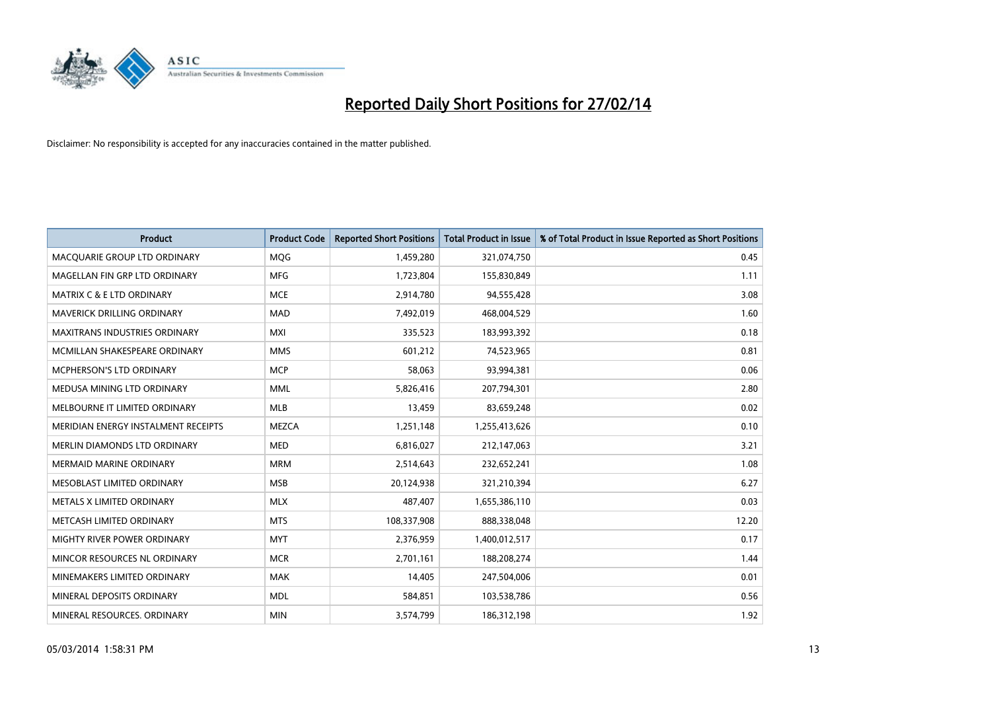

| <b>Product</b>                       | <b>Product Code</b> | <b>Reported Short Positions</b> | <b>Total Product in Issue</b> | % of Total Product in Issue Reported as Short Positions |
|--------------------------------------|---------------------|---------------------------------|-------------------------------|---------------------------------------------------------|
| MACQUARIE GROUP LTD ORDINARY         | MQG                 | 1,459,280                       | 321,074,750                   | 0.45                                                    |
| MAGELLAN FIN GRP LTD ORDINARY        | MFG                 | 1,723,804                       | 155,830,849                   | 1.11                                                    |
| <b>MATRIX C &amp; E LTD ORDINARY</b> | <b>MCE</b>          | 2,914,780                       | 94,555,428                    | 3.08                                                    |
| MAVERICK DRILLING ORDINARY           | <b>MAD</b>          | 7,492,019                       | 468,004,529                   | 1.60                                                    |
| <b>MAXITRANS INDUSTRIES ORDINARY</b> | <b>MXI</b>          | 335,523                         | 183,993,392                   | 0.18                                                    |
| MCMILLAN SHAKESPEARE ORDINARY        | <b>MMS</b>          | 601,212                         | 74,523,965                    | 0.81                                                    |
| <b>MCPHERSON'S LTD ORDINARY</b>      | <b>MCP</b>          | 58,063                          | 93,994,381                    | 0.06                                                    |
| MEDUSA MINING LTD ORDINARY           | <b>MML</b>          | 5,826,416                       | 207,794,301                   | 2.80                                                    |
| MELBOURNE IT LIMITED ORDINARY        | <b>MLB</b>          | 13,459                          | 83,659,248                    | 0.02                                                    |
| MERIDIAN ENERGY INSTALMENT RECEIPTS  | <b>MEZCA</b>        | 1,251,148                       | 1,255,413,626                 | 0.10                                                    |
| MERLIN DIAMONDS LTD ORDINARY         | <b>MED</b>          | 6,816,027                       | 212,147,063                   | 3.21                                                    |
| <b>MERMAID MARINE ORDINARY</b>       | <b>MRM</b>          | 2,514,643                       | 232,652,241                   | 1.08                                                    |
| MESOBLAST LIMITED ORDINARY           | <b>MSB</b>          | 20,124,938                      | 321,210,394                   | 6.27                                                    |
| METALS X LIMITED ORDINARY            | <b>MLX</b>          | 487,407                         | 1,655,386,110                 | 0.03                                                    |
| METCASH LIMITED ORDINARY             | <b>MTS</b>          | 108,337,908                     | 888,338,048                   | 12.20                                                   |
| MIGHTY RIVER POWER ORDINARY          | <b>MYT</b>          | 2,376,959                       | 1,400,012,517                 | 0.17                                                    |
| MINCOR RESOURCES NL ORDINARY         | <b>MCR</b>          | 2,701,161                       | 188,208,274                   | 1.44                                                    |
| MINEMAKERS LIMITED ORDINARY          | <b>MAK</b>          | 14,405                          | 247,504,006                   | 0.01                                                    |
| MINERAL DEPOSITS ORDINARY            | <b>MDL</b>          | 584,851                         | 103,538,786                   | 0.56                                                    |
| MINERAL RESOURCES. ORDINARY          | <b>MIN</b>          | 3,574,799                       | 186,312,198                   | 1.92                                                    |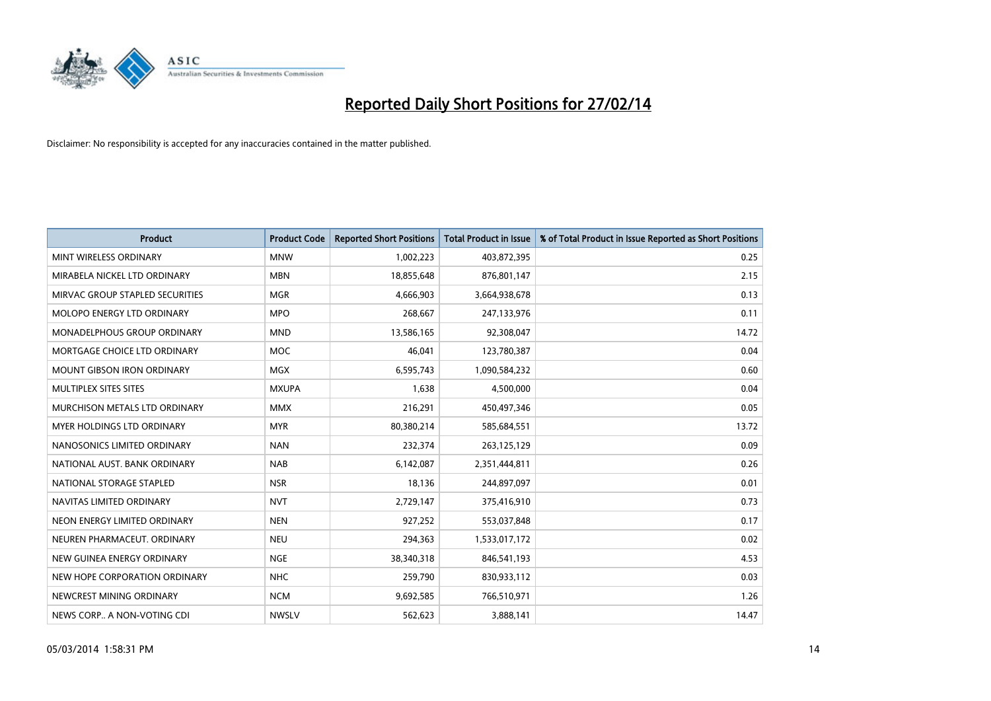

| <b>Product</b>                    | <b>Product Code</b> | <b>Reported Short Positions</b> | <b>Total Product in Issue</b> | % of Total Product in Issue Reported as Short Positions |
|-----------------------------------|---------------------|---------------------------------|-------------------------------|---------------------------------------------------------|
| MINT WIRELESS ORDINARY            | <b>MNW</b>          | 1,002,223                       | 403,872,395                   | 0.25                                                    |
| MIRABELA NICKEL LTD ORDINARY      | <b>MBN</b>          | 18,855,648                      | 876,801,147                   | 2.15                                                    |
| MIRVAC GROUP STAPLED SECURITIES   | <b>MGR</b>          | 4,666,903                       | 3,664,938,678                 | 0.13                                                    |
| MOLOPO ENERGY LTD ORDINARY        | <b>MPO</b>          | 268,667                         | 247,133,976                   | 0.11                                                    |
| MONADELPHOUS GROUP ORDINARY       | <b>MND</b>          | 13,586,165                      | 92,308,047                    | 14.72                                                   |
| MORTGAGE CHOICE LTD ORDINARY      | MOC                 | 46,041                          | 123,780,387                   | 0.04                                                    |
| <b>MOUNT GIBSON IRON ORDINARY</b> | <b>MGX</b>          | 6,595,743                       | 1,090,584,232                 | 0.60                                                    |
| MULTIPLEX SITES SITES             | <b>MXUPA</b>        | 1,638                           | 4,500,000                     | 0.04                                                    |
| MURCHISON METALS LTD ORDINARY     | <b>MMX</b>          | 216,291                         | 450,497,346                   | 0.05                                                    |
| MYER HOLDINGS LTD ORDINARY        | <b>MYR</b>          | 80,380,214                      | 585,684,551                   | 13.72                                                   |
| NANOSONICS LIMITED ORDINARY       | <b>NAN</b>          | 232,374                         | 263,125,129                   | 0.09                                                    |
| NATIONAL AUST. BANK ORDINARY      | <b>NAB</b>          | 6,142,087                       | 2,351,444,811                 | 0.26                                                    |
| NATIONAL STORAGE STAPLED          | <b>NSR</b>          | 18,136                          | 244,897,097                   | 0.01                                                    |
| NAVITAS LIMITED ORDINARY          | <b>NVT</b>          | 2,729,147                       | 375,416,910                   | 0.73                                                    |
| NEON ENERGY LIMITED ORDINARY      | <b>NEN</b>          | 927,252                         | 553,037,848                   | 0.17                                                    |
| NEUREN PHARMACEUT, ORDINARY       | <b>NEU</b>          | 294,363                         | 1,533,017,172                 | 0.02                                                    |
| NEW GUINEA ENERGY ORDINARY        | <b>NGE</b>          | 38,340,318                      | 846,541,193                   | 4.53                                                    |
| NEW HOPE CORPORATION ORDINARY     | <b>NHC</b>          | 259,790                         | 830,933,112                   | 0.03                                                    |
| NEWCREST MINING ORDINARY          | <b>NCM</b>          | 9,692,585                       | 766,510,971                   | 1.26                                                    |
| NEWS CORP A NON-VOTING CDI        | <b>NWSLV</b>        | 562,623                         | 3,888,141                     | 14.47                                                   |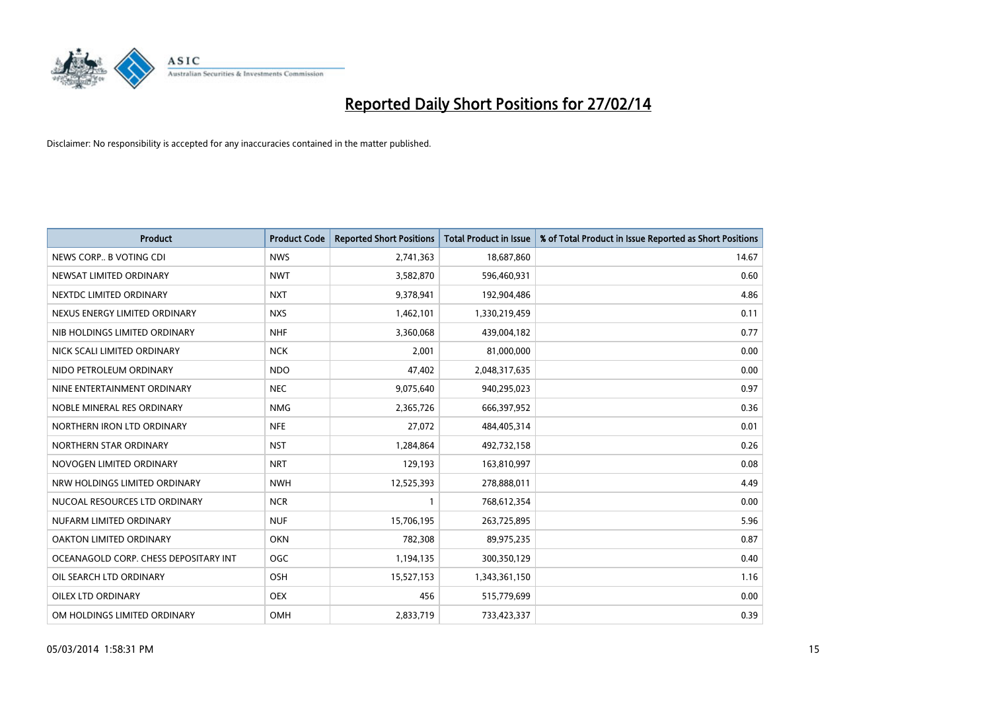

| <b>Product</b>                        | <b>Product Code</b> | <b>Reported Short Positions</b> | <b>Total Product in Issue</b> | % of Total Product in Issue Reported as Short Positions |
|---------------------------------------|---------------------|---------------------------------|-------------------------------|---------------------------------------------------------|
| NEWS CORP B VOTING CDI                | <b>NWS</b>          | 2,741,363                       | 18,687,860                    | 14.67                                                   |
| NEWSAT LIMITED ORDINARY               | <b>NWT</b>          | 3,582,870                       | 596,460,931                   | 0.60                                                    |
| NEXTDC LIMITED ORDINARY               | <b>NXT</b>          | 9,378,941                       | 192,904,486                   | 4.86                                                    |
| NEXUS ENERGY LIMITED ORDINARY         | <b>NXS</b>          | 1,462,101                       | 1,330,219,459                 | 0.11                                                    |
| NIB HOLDINGS LIMITED ORDINARY         | <b>NHF</b>          | 3,360,068                       | 439,004,182                   | 0.77                                                    |
| NICK SCALI LIMITED ORDINARY           | <b>NCK</b>          | 2,001                           | 81,000,000                    | 0.00                                                    |
| NIDO PETROLEUM ORDINARY               | <b>NDO</b>          | 47,402                          | 2,048,317,635                 | 0.00                                                    |
| NINE ENTERTAINMENT ORDINARY           | <b>NEC</b>          | 9,075,640                       | 940,295,023                   | 0.97                                                    |
| NOBLE MINERAL RES ORDINARY            | <b>NMG</b>          | 2,365,726                       | 666,397,952                   | 0.36                                                    |
| NORTHERN IRON LTD ORDINARY            | <b>NFE</b>          | 27,072                          | 484,405,314                   | 0.01                                                    |
| NORTHERN STAR ORDINARY                | <b>NST</b>          | 1,284,864                       | 492,732,158                   | 0.26                                                    |
| NOVOGEN LIMITED ORDINARY              | <b>NRT</b>          | 129,193                         | 163,810,997                   | 0.08                                                    |
| NRW HOLDINGS LIMITED ORDINARY         | <b>NWH</b>          | 12,525,393                      | 278,888,011                   | 4.49                                                    |
| NUCOAL RESOURCES LTD ORDINARY         | <b>NCR</b>          | $\mathbf{1}$                    | 768,612,354                   | 0.00                                                    |
| NUFARM LIMITED ORDINARY               | <b>NUF</b>          | 15,706,195                      | 263,725,895                   | 5.96                                                    |
| OAKTON LIMITED ORDINARY               | <b>OKN</b>          | 782,308                         | 89,975,235                    | 0.87                                                    |
| OCEANAGOLD CORP. CHESS DEPOSITARY INT | <b>OGC</b>          | 1,194,135                       | 300,350,129                   | 0.40                                                    |
| OIL SEARCH LTD ORDINARY               | OSH                 | 15,527,153                      | 1,343,361,150                 | 1.16                                                    |
| OILEX LTD ORDINARY                    | <b>OEX</b>          | 456                             | 515,779,699                   | 0.00                                                    |
| OM HOLDINGS LIMITED ORDINARY          | OMH                 | 2,833,719                       | 733,423,337                   | 0.39                                                    |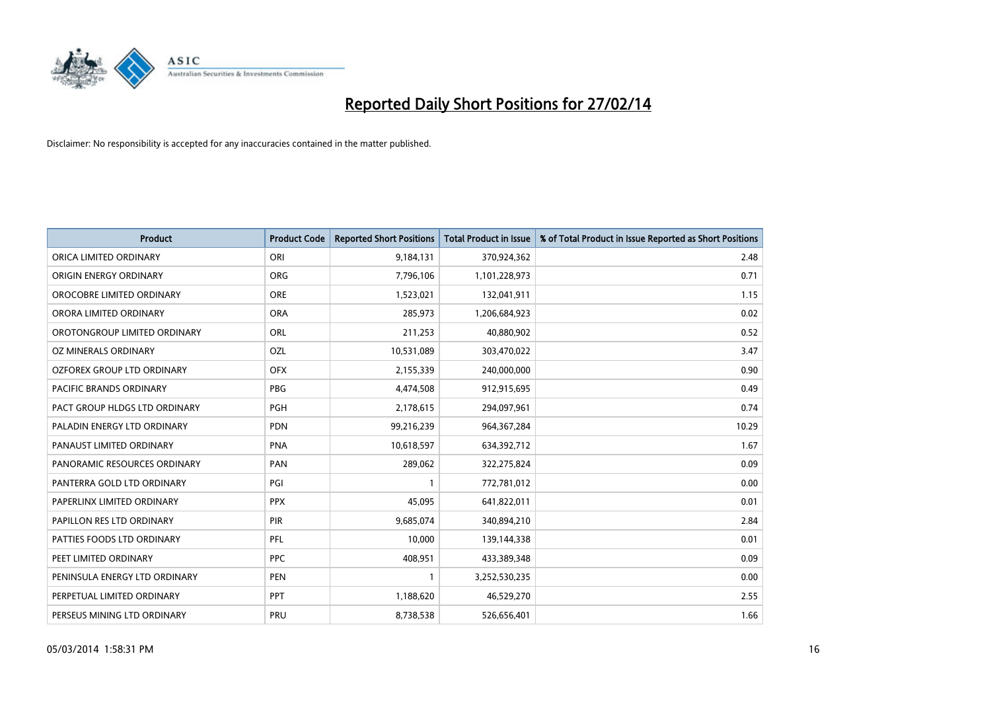

| <b>Product</b>                | <b>Product Code</b> | <b>Reported Short Positions</b> | <b>Total Product in Issue</b> | % of Total Product in Issue Reported as Short Positions |
|-------------------------------|---------------------|---------------------------------|-------------------------------|---------------------------------------------------------|
| ORICA LIMITED ORDINARY        | ORI                 | 9,184,131                       | 370,924,362                   | 2.48                                                    |
| ORIGIN ENERGY ORDINARY        | <b>ORG</b>          | 7,796,106                       | 1,101,228,973                 | 0.71                                                    |
| OROCOBRE LIMITED ORDINARY     | <b>ORE</b>          | 1,523,021                       | 132,041,911                   | 1.15                                                    |
| ORORA LIMITED ORDINARY        | <b>ORA</b>          | 285,973                         | 1,206,684,923                 | 0.02                                                    |
| OROTONGROUP LIMITED ORDINARY  | ORL                 | 211,253                         | 40,880,902                    | 0.52                                                    |
| OZ MINERALS ORDINARY          | OZL                 | 10,531,089                      | 303,470,022                   | 3.47                                                    |
| OZFOREX GROUP LTD ORDINARY    | <b>OFX</b>          | 2,155,339                       | 240,000,000                   | 0.90                                                    |
| PACIFIC BRANDS ORDINARY       | <b>PBG</b>          | 4,474,508                       | 912,915,695                   | 0.49                                                    |
| PACT GROUP HLDGS LTD ORDINARY | <b>PGH</b>          | 2,178,615                       | 294,097,961                   | 0.74                                                    |
| PALADIN ENERGY LTD ORDINARY   | <b>PDN</b>          | 99,216,239                      | 964, 367, 284                 | 10.29                                                   |
| PANAUST LIMITED ORDINARY      | <b>PNA</b>          | 10,618,597                      | 634,392,712                   | 1.67                                                    |
| PANORAMIC RESOURCES ORDINARY  | PAN                 | 289,062                         | 322,275,824                   | 0.09                                                    |
| PANTERRA GOLD LTD ORDINARY    | PGI                 | $\mathbf{1}$                    | 772,781,012                   | 0.00                                                    |
| PAPERLINX LIMITED ORDINARY    | <b>PPX</b>          | 45,095                          | 641,822,011                   | 0.01                                                    |
| PAPILLON RES LTD ORDINARY     | PIR                 | 9,685,074                       | 340,894,210                   | 2.84                                                    |
| PATTIES FOODS LTD ORDINARY    | PFL                 | 10,000                          | 139,144,338                   | 0.01                                                    |
| PEET LIMITED ORDINARY         | <b>PPC</b>          | 408,951                         | 433,389,348                   | 0.09                                                    |
| PENINSULA ENERGY LTD ORDINARY | <b>PEN</b>          |                                 | 3,252,530,235                 | 0.00                                                    |
| PERPETUAL LIMITED ORDINARY    | PPT                 | 1,188,620                       | 46,529,270                    | 2.55                                                    |
| PERSEUS MINING LTD ORDINARY   | PRU                 | 8,738,538                       | 526,656,401                   | 1.66                                                    |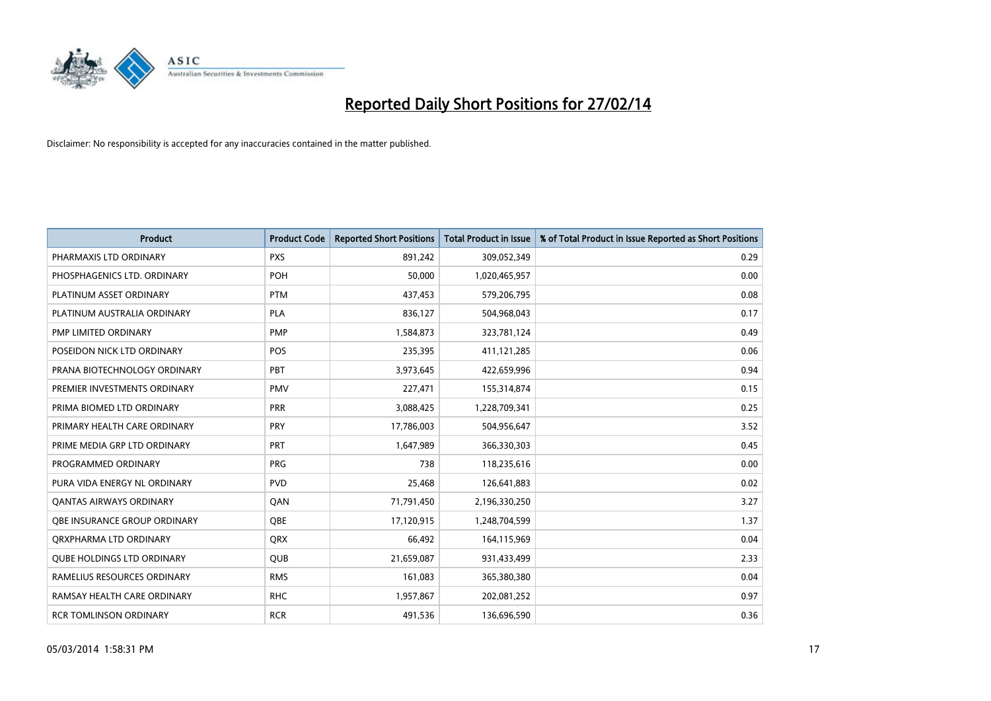

| <b>Product</b>                    | <b>Product Code</b> | <b>Reported Short Positions</b> | <b>Total Product in Issue</b> | % of Total Product in Issue Reported as Short Positions |
|-----------------------------------|---------------------|---------------------------------|-------------------------------|---------------------------------------------------------|
| PHARMAXIS LTD ORDINARY            | <b>PXS</b>          | 891,242                         | 309,052,349                   | 0.29                                                    |
| PHOSPHAGENICS LTD. ORDINARY       | <b>POH</b>          | 50,000                          | 1,020,465,957                 | 0.00                                                    |
| PLATINUM ASSET ORDINARY           | <b>PTM</b>          | 437,453                         | 579,206,795                   | 0.08                                                    |
| PLATINUM AUSTRALIA ORDINARY       | <b>PLA</b>          | 836,127                         | 504,968,043                   | 0.17                                                    |
| PMP LIMITED ORDINARY              | <b>PMP</b>          | 1,584,873                       | 323,781,124                   | 0.49                                                    |
| POSEIDON NICK LTD ORDINARY        | <b>POS</b>          | 235,395                         | 411,121,285                   | 0.06                                                    |
| PRANA BIOTECHNOLOGY ORDINARY      | PBT                 | 3,973,645                       | 422,659,996                   | 0.94                                                    |
| PREMIER INVESTMENTS ORDINARY      | <b>PMV</b>          | 227,471                         | 155,314,874                   | 0.15                                                    |
| PRIMA BIOMED LTD ORDINARY         | <b>PRR</b>          | 3,088,425                       | 1,228,709,341                 | 0.25                                                    |
| PRIMARY HEALTH CARE ORDINARY      | <b>PRY</b>          | 17,786,003                      | 504,956,647                   | 3.52                                                    |
| PRIME MEDIA GRP LTD ORDINARY      | <b>PRT</b>          | 1,647,989                       | 366,330,303                   | 0.45                                                    |
| PROGRAMMED ORDINARY               | <b>PRG</b>          | 738                             | 118,235,616                   | 0.00                                                    |
| PURA VIDA ENERGY NL ORDINARY      | <b>PVD</b>          | 25,468                          | 126,641,883                   | 0.02                                                    |
| <b>QANTAS AIRWAYS ORDINARY</b>    | QAN                 | 71,791,450                      | 2,196,330,250                 | 3.27                                                    |
| OBE INSURANCE GROUP ORDINARY      | <b>OBE</b>          | 17,120,915                      | 1,248,704,599                 | 1.37                                                    |
| ORXPHARMA LTD ORDINARY            | QRX                 | 66,492                          | 164,115,969                   | 0.04                                                    |
| <b>QUBE HOLDINGS LTD ORDINARY</b> | QUB                 | 21,659,087                      | 931,433,499                   | 2.33                                                    |
| RAMELIUS RESOURCES ORDINARY       | <b>RMS</b>          | 161,083                         | 365,380,380                   | 0.04                                                    |
| RAMSAY HEALTH CARE ORDINARY       | <b>RHC</b>          | 1,957,867                       | 202,081,252                   | 0.97                                                    |
| <b>RCR TOMLINSON ORDINARY</b>     | <b>RCR</b>          | 491,536                         | 136,696,590                   | 0.36                                                    |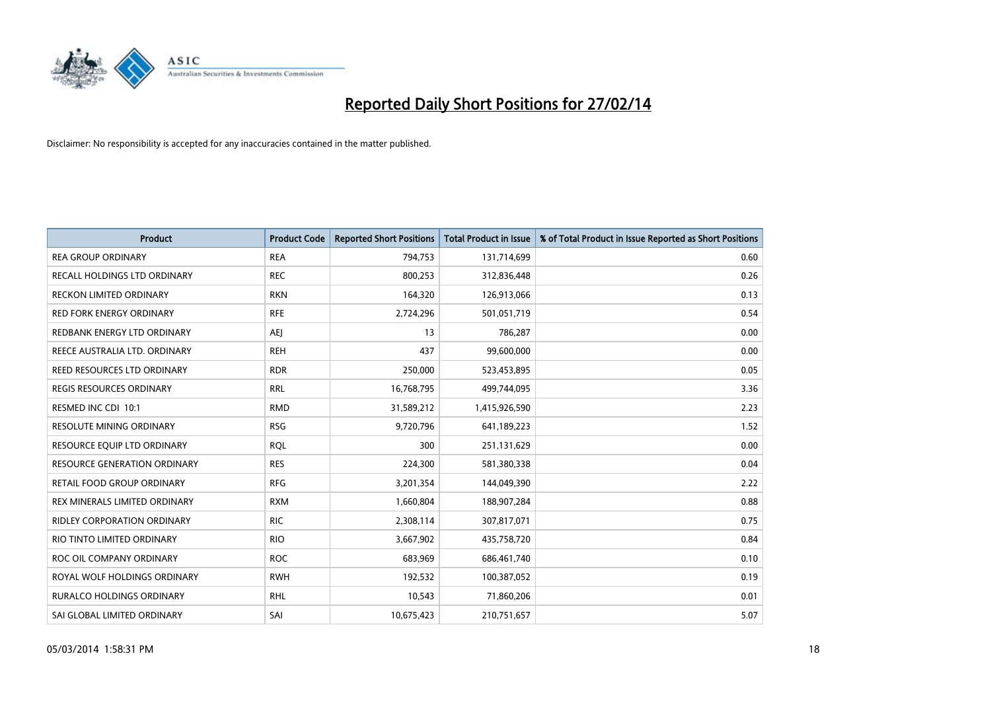

| <b>Product</b>                     | <b>Product Code</b> | <b>Reported Short Positions</b> | <b>Total Product in Issue</b> | % of Total Product in Issue Reported as Short Positions |
|------------------------------------|---------------------|---------------------------------|-------------------------------|---------------------------------------------------------|
| <b>REA GROUP ORDINARY</b>          | <b>REA</b>          | 794,753                         | 131,714,699                   | 0.60                                                    |
| RECALL HOLDINGS LTD ORDINARY       | <b>REC</b>          | 800,253                         | 312,836,448                   | 0.26                                                    |
| RECKON LIMITED ORDINARY            | <b>RKN</b>          | 164,320                         | 126,913,066                   | 0.13                                                    |
| <b>RED FORK ENERGY ORDINARY</b>    | <b>RFE</b>          | 2,724,296                       | 501,051,719                   | 0.54                                                    |
| REDBANK ENERGY LTD ORDINARY        | AEJ                 | 13                              | 786,287                       | 0.00                                                    |
| REECE AUSTRALIA LTD. ORDINARY      | <b>REH</b>          | 437                             | 99,600,000                    | 0.00                                                    |
| REED RESOURCES LTD ORDINARY        | <b>RDR</b>          | 250,000                         | 523,453,895                   | 0.05                                                    |
| REGIS RESOURCES ORDINARY           | <b>RRL</b>          | 16,768,795                      | 499,744,095                   | 3.36                                                    |
| RESMED INC CDI 10:1                | <b>RMD</b>          | 31,589,212                      | 1,415,926,590                 | 2.23                                                    |
| <b>RESOLUTE MINING ORDINARY</b>    | <b>RSG</b>          | 9,720,796                       | 641,189,223                   | 1.52                                                    |
| RESOURCE EQUIP LTD ORDINARY        | <b>RQL</b>          | 300                             | 251,131,629                   | 0.00                                                    |
| RESOURCE GENERATION ORDINARY       | <b>RES</b>          | 224,300                         | 581,380,338                   | 0.04                                                    |
| RETAIL FOOD GROUP ORDINARY         | <b>RFG</b>          | 3,201,354                       | 144,049,390                   | 2.22                                                    |
| REX MINERALS LIMITED ORDINARY      | <b>RXM</b>          | 1,660,804                       | 188,907,284                   | 0.88                                                    |
| <b>RIDLEY CORPORATION ORDINARY</b> | <b>RIC</b>          | 2,308,114                       | 307,817,071                   | 0.75                                                    |
| RIO TINTO LIMITED ORDINARY         | <b>RIO</b>          | 3,667,902                       | 435,758,720                   | 0.84                                                    |
| ROC OIL COMPANY ORDINARY           | <b>ROC</b>          | 683,969                         | 686,461,740                   | 0.10                                                    |
| ROYAL WOLF HOLDINGS ORDINARY       | <b>RWH</b>          | 192,532                         | 100,387,052                   | 0.19                                                    |
| <b>RURALCO HOLDINGS ORDINARY</b>   | <b>RHL</b>          | 10,543                          | 71,860,206                    | 0.01                                                    |
| SAI GLOBAL LIMITED ORDINARY        | SAI                 | 10,675,423                      | 210,751,657                   | 5.07                                                    |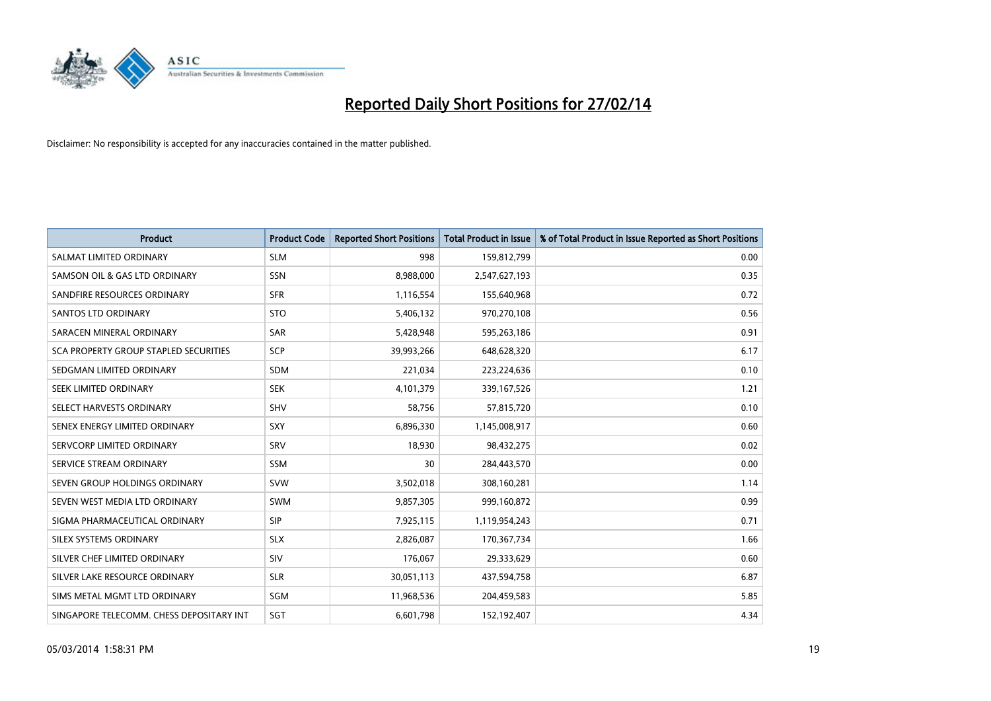

| Product                                  | <b>Product Code</b> | <b>Reported Short Positions</b> | <b>Total Product in Issue</b> | % of Total Product in Issue Reported as Short Positions |
|------------------------------------------|---------------------|---------------------------------|-------------------------------|---------------------------------------------------------|
| SALMAT LIMITED ORDINARY                  | <b>SLM</b>          | 998                             | 159,812,799                   | 0.00                                                    |
| SAMSON OIL & GAS LTD ORDINARY            | <b>SSN</b>          | 8,988,000                       | 2,547,627,193                 | 0.35                                                    |
| SANDFIRE RESOURCES ORDINARY              | <b>SFR</b>          | 1,116,554                       | 155,640,968                   | 0.72                                                    |
| SANTOS LTD ORDINARY                      | <b>STO</b>          | 5,406,132                       | 970,270,108                   | 0.56                                                    |
| SARACEN MINERAL ORDINARY                 | <b>SAR</b>          | 5,428,948                       | 595,263,186                   | 0.91                                                    |
| SCA PROPERTY GROUP STAPLED SECURITIES    | SCP                 | 39,993,266                      | 648,628,320                   | 6.17                                                    |
| SEDGMAN LIMITED ORDINARY                 | SDM                 | 221,034                         | 223,224,636                   | 0.10                                                    |
| SEEK LIMITED ORDINARY                    | <b>SEK</b>          | 4,101,379                       | 339,167,526                   | 1.21                                                    |
| SELECT HARVESTS ORDINARY                 | SHV                 | 58,756                          | 57,815,720                    | 0.10                                                    |
| SENEX ENERGY LIMITED ORDINARY            | <b>SXY</b>          | 6,896,330                       | 1,145,008,917                 | 0.60                                                    |
| SERVCORP LIMITED ORDINARY                | SRV                 | 18,930                          | 98,432,275                    | 0.02                                                    |
| SERVICE STREAM ORDINARY                  | SSM                 | 30                              | 284,443,570                   | 0.00                                                    |
| SEVEN GROUP HOLDINGS ORDINARY            | <b>SVW</b>          | 3,502,018                       | 308,160,281                   | 1.14                                                    |
| SEVEN WEST MEDIA LTD ORDINARY            | <b>SWM</b>          | 9,857,305                       | 999,160,872                   | 0.99                                                    |
| SIGMA PHARMACEUTICAL ORDINARY            | <b>SIP</b>          | 7,925,115                       | 1,119,954,243                 | 0.71                                                    |
| SILEX SYSTEMS ORDINARY                   | <b>SLX</b>          | 2,826,087                       | 170,367,734                   | 1.66                                                    |
| SILVER CHEF LIMITED ORDINARY             | SIV                 | 176,067                         | 29,333,629                    | 0.60                                                    |
| SILVER LAKE RESOURCE ORDINARY            | <b>SLR</b>          | 30,051,113                      | 437,594,758                   | 6.87                                                    |
| SIMS METAL MGMT LTD ORDINARY             | SGM                 | 11,968,536                      | 204,459,583                   | 5.85                                                    |
| SINGAPORE TELECOMM. CHESS DEPOSITARY INT | SGT                 | 6,601,798                       | 152,192,407                   | 4.34                                                    |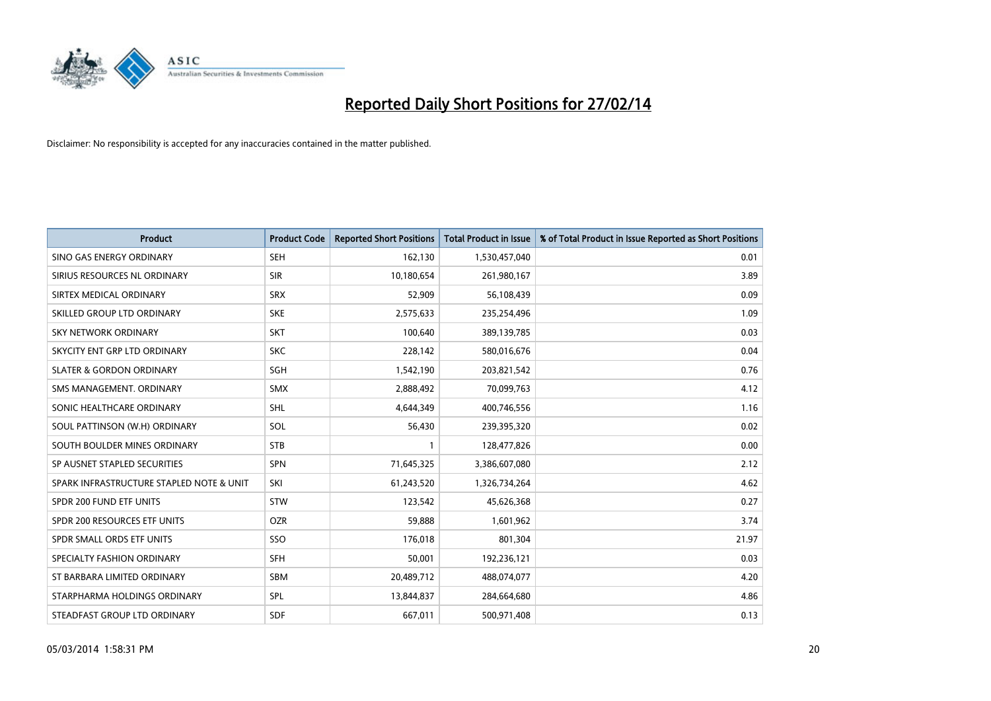

| <b>Product</b>                           | <b>Product Code</b> | <b>Reported Short Positions</b> | <b>Total Product in Issue</b> | % of Total Product in Issue Reported as Short Positions |
|------------------------------------------|---------------------|---------------------------------|-------------------------------|---------------------------------------------------------|
| SINO GAS ENERGY ORDINARY                 | <b>SEH</b>          | 162,130                         | 1,530,457,040                 | 0.01                                                    |
| SIRIUS RESOURCES NL ORDINARY             | <b>SIR</b>          | 10,180,654                      | 261,980,167                   | 3.89                                                    |
| SIRTEX MEDICAL ORDINARY                  | <b>SRX</b>          | 52,909                          | 56,108,439                    | 0.09                                                    |
| SKILLED GROUP LTD ORDINARY               | <b>SKE</b>          | 2,575,633                       | 235,254,496                   | 1.09                                                    |
| <b>SKY NETWORK ORDINARY</b>              | <b>SKT</b>          | 100,640                         | 389,139,785                   | 0.03                                                    |
| SKYCITY ENT GRP LTD ORDINARY             | <b>SKC</b>          | 228,142                         | 580,016,676                   | 0.04                                                    |
| <b>SLATER &amp; GORDON ORDINARY</b>      | SGH                 | 1,542,190                       | 203,821,542                   | 0.76                                                    |
| SMS MANAGEMENT, ORDINARY                 | SMX                 | 2,888,492                       | 70,099,763                    | 4.12                                                    |
| SONIC HEALTHCARE ORDINARY                | <b>SHL</b>          | 4,644,349                       | 400,746,556                   | 1.16                                                    |
| SOUL PATTINSON (W.H) ORDINARY            | SOL                 | 56,430                          | 239,395,320                   | 0.02                                                    |
| SOUTH BOULDER MINES ORDINARY             | <b>STB</b>          | 1                               | 128,477,826                   | 0.00                                                    |
| SP AUSNET STAPLED SECURITIES             | SPN                 | 71,645,325                      | 3,386,607,080                 | 2.12                                                    |
| SPARK INFRASTRUCTURE STAPLED NOTE & UNIT | SKI                 | 61,243,520                      | 1,326,734,264                 | 4.62                                                    |
| SPDR 200 FUND ETF UNITS                  | <b>STW</b>          | 123,542                         | 45,626,368                    | 0.27                                                    |
| SPDR 200 RESOURCES ETF UNITS             | <b>OZR</b>          | 59,888                          | 1,601,962                     | 3.74                                                    |
| SPDR SMALL ORDS ETF UNITS                | SSO                 | 176,018                         | 801,304                       | 21.97                                                   |
| SPECIALTY FASHION ORDINARY               | SFH                 | 50,001                          | 192,236,121                   | 0.03                                                    |
| ST BARBARA LIMITED ORDINARY              | <b>SBM</b>          | 20,489,712                      | 488,074,077                   | 4.20                                                    |
| STARPHARMA HOLDINGS ORDINARY             | <b>SPL</b>          | 13,844,837                      | 284,664,680                   | 4.86                                                    |
| STEADFAST GROUP LTD ORDINARY             | <b>SDF</b>          | 667,011                         | 500,971,408                   | 0.13                                                    |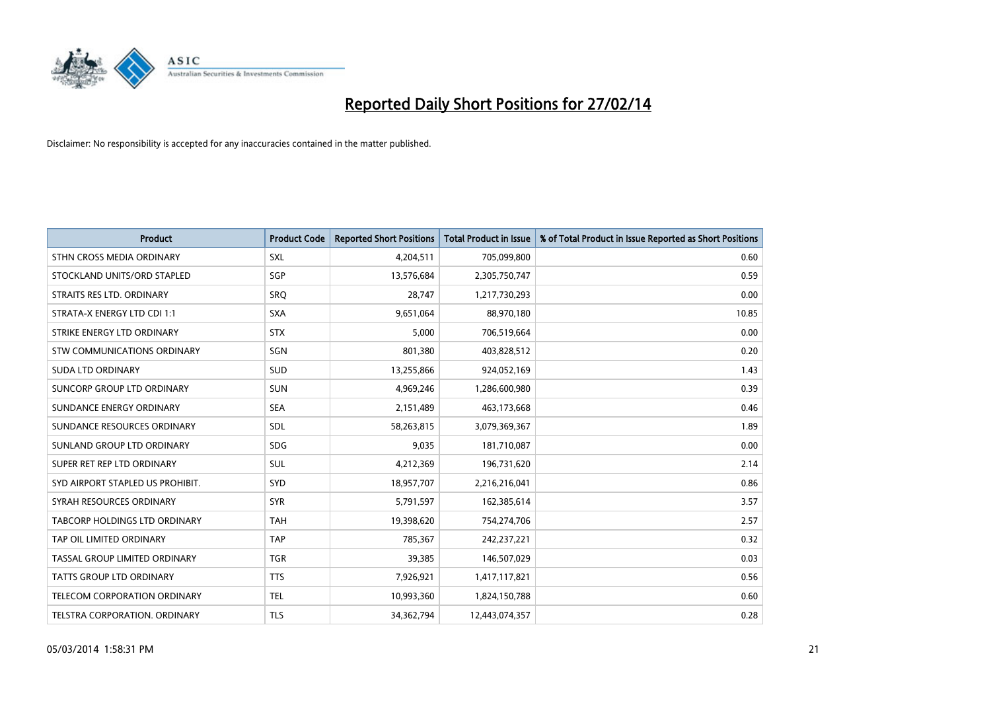

| <b>Product</b>                   | <b>Product Code</b> | <b>Reported Short Positions</b> | <b>Total Product in Issue</b> | % of Total Product in Issue Reported as Short Positions |
|----------------------------------|---------------------|---------------------------------|-------------------------------|---------------------------------------------------------|
| STHN CROSS MEDIA ORDINARY        | <b>SXL</b>          | 4,204,511                       | 705,099,800                   | 0.60                                                    |
| STOCKLAND UNITS/ORD STAPLED      | SGP                 | 13,576,684                      | 2,305,750,747                 | 0.59                                                    |
| STRAITS RES LTD. ORDINARY        | <b>SRQ</b>          | 28,747                          | 1,217,730,293                 | 0.00                                                    |
| STRATA-X ENERGY LTD CDI 1:1      | <b>SXA</b>          | 9,651,064                       | 88,970,180                    | 10.85                                                   |
| STRIKE ENERGY LTD ORDINARY       | <b>STX</b>          | 5,000                           | 706,519,664                   | 0.00                                                    |
| STW COMMUNICATIONS ORDINARY      | SGN                 | 801,380                         | 403,828,512                   | 0.20                                                    |
| <b>SUDA LTD ORDINARY</b>         | SUD                 | 13,255,866                      | 924,052,169                   | 1.43                                                    |
| SUNCORP GROUP LTD ORDINARY       | <b>SUN</b>          | 4,969,246                       | 1,286,600,980                 | 0.39                                                    |
| SUNDANCE ENERGY ORDINARY         | <b>SEA</b>          | 2,151,489                       | 463,173,668                   | 0.46                                                    |
| SUNDANCE RESOURCES ORDINARY      | SDL                 | 58,263,815                      | 3,079,369,367                 | 1.89                                                    |
| SUNLAND GROUP LTD ORDINARY       | <b>SDG</b>          | 9,035                           | 181,710,087                   | 0.00                                                    |
| SUPER RET REP LTD ORDINARY       | SUL                 | 4,212,369                       | 196,731,620                   | 2.14                                                    |
| SYD AIRPORT STAPLED US PROHIBIT. | SYD                 | 18,957,707                      | 2,216,216,041                 | 0.86                                                    |
| SYRAH RESOURCES ORDINARY         | <b>SYR</b>          | 5,791,597                       | 162,385,614                   | 3.57                                                    |
| TABCORP HOLDINGS LTD ORDINARY    | <b>TAH</b>          | 19,398,620                      | 754,274,706                   | 2.57                                                    |
| TAP OIL LIMITED ORDINARY         | <b>TAP</b>          | 785,367                         | 242,237,221                   | 0.32                                                    |
| TASSAL GROUP LIMITED ORDINARY    | <b>TGR</b>          | 39,385                          | 146,507,029                   | 0.03                                                    |
| TATTS GROUP LTD ORDINARY         | <b>TTS</b>          | 7,926,921                       | 1,417,117,821                 | 0.56                                                    |
| TELECOM CORPORATION ORDINARY     | <b>TEL</b>          | 10,993,360                      | 1,824,150,788                 | 0.60                                                    |
| TELSTRA CORPORATION, ORDINARY    | <b>TLS</b>          | 34, 362, 794                    | 12,443,074,357                | 0.28                                                    |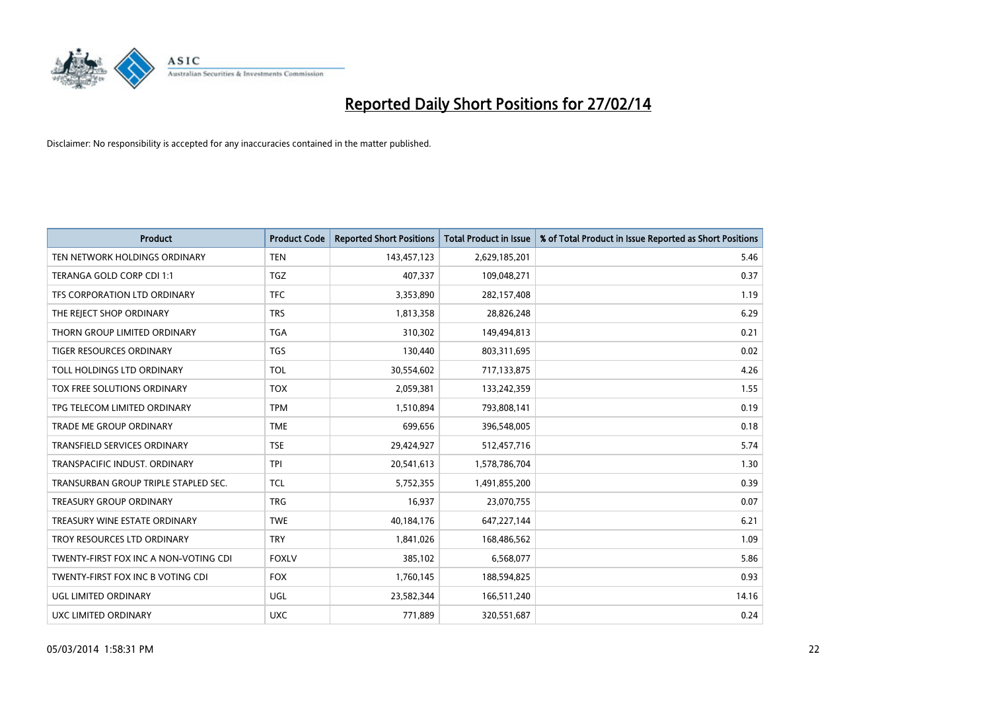

| <b>Product</b>                        | <b>Product Code</b> | <b>Reported Short Positions</b> | <b>Total Product in Issue</b> | % of Total Product in Issue Reported as Short Positions |
|---------------------------------------|---------------------|---------------------------------|-------------------------------|---------------------------------------------------------|
| TEN NETWORK HOLDINGS ORDINARY         | <b>TEN</b>          | 143,457,123                     | 2,629,185,201                 | 5.46                                                    |
| TERANGA GOLD CORP CDI 1:1             | <b>TGZ</b>          | 407,337                         | 109,048,271                   | 0.37                                                    |
| TFS CORPORATION LTD ORDINARY          | <b>TFC</b>          | 3,353,890                       | 282,157,408                   | 1.19                                                    |
| THE REJECT SHOP ORDINARY              | <b>TRS</b>          | 1,813,358                       | 28,826,248                    | 6.29                                                    |
| THORN GROUP LIMITED ORDINARY          | <b>TGA</b>          | 310,302                         | 149,494,813                   | 0.21                                                    |
| <b>TIGER RESOURCES ORDINARY</b>       | <b>TGS</b>          | 130,440                         | 803,311,695                   | 0.02                                                    |
| TOLL HOLDINGS LTD ORDINARY            | <b>TOL</b>          | 30,554,602                      | 717,133,875                   | 4.26                                                    |
| <b>TOX FREE SOLUTIONS ORDINARY</b>    | <b>TOX</b>          | 2,059,381                       | 133,242,359                   | 1.55                                                    |
| TPG TELECOM LIMITED ORDINARY          | <b>TPM</b>          | 1,510,894                       | 793,808,141                   | 0.19                                                    |
| <b>TRADE ME GROUP ORDINARY</b>        | <b>TME</b>          | 699,656                         | 396,548,005                   | 0.18                                                    |
| TRANSFIELD SERVICES ORDINARY          | <b>TSE</b>          | 29,424,927                      | 512,457,716                   | 5.74                                                    |
| TRANSPACIFIC INDUST, ORDINARY         | <b>TPI</b>          | 20,541,613                      | 1,578,786,704                 | 1.30                                                    |
| TRANSURBAN GROUP TRIPLE STAPLED SEC.  | TCL                 | 5,752,355                       | 1,491,855,200                 | 0.39                                                    |
| <b>TREASURY GROUP ORDINARY</b>        | <b>TRG</b>          | 16,937                          | 23,070,755                    | 0.07                                                    |
| TREASURY WINE ESTATE ORDINARY         | <b>TWE</b>          | 40,184,176                      | 647,227,144                   | 6.21                                                    |
| TROY RESOURCES LTD ORDINARY           | <b>TRY</b>          | 1,841,026                       | 168,486,562                   | 1.09                                                    |
| TWENTY-FIRST FOX INC A NON-VOTING CDI | <b>FOXLV</b>        | 385,102                         | 6,568,077                     | 5.86                                                    |
| TWENTY-FIRST FOX INC B VOTING CDI     | <b>FOX</b>          | 1,760,145                       | 188,594,825                   | 0.93                                                    |
| UGL LIMITED ORDINARY                  | UGL                 | 23,582,344                      | 166,511,240                   | 14.16                                                   |
| <b>UXC LIMITED ORDINARY</b>           | <b>UXC</b>          | 771,889                         | 320,551,687                   | 0.24                                                    |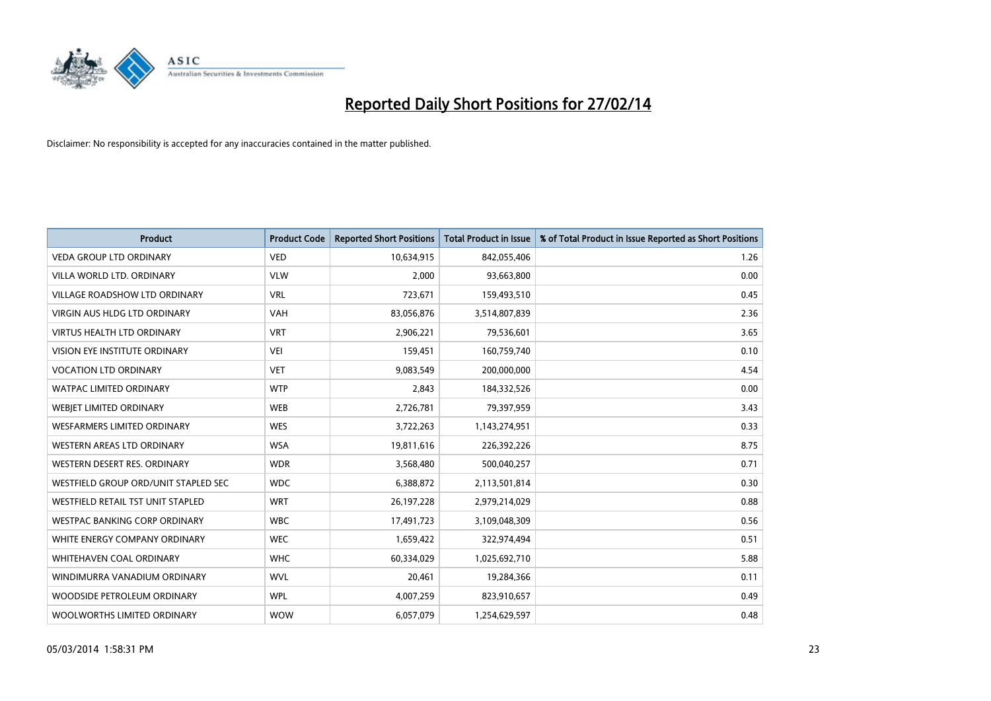

| <b>Product</b>                       | <b>Product Code</b> | <b>Reported Short Positions</b> | <b>Total Product in Issue</b> | % of Total Product in Issue Reported as Short Positions |
|--------------------------------------|---------------------|---------------------------------|-------------------------------|---------------------------------------------------------|
| <b>VEDA GROUP LTD ORDINARY</b>       | <b>VED</b>          | 10,634,915                      | 842,055,406                   | 1.26                                                    |
| VILLA WORLD LTD. ORDINARY            | <b>VLW</b>          | 2,000                           | 93,663,800                    | 0.00                                                    |
| <b>VILLAGE ROADSHOW LTD ORDINARY</b> | <b>VRL</b>          | 723,671                         | 159,493,510                   | 0.45                                                    |
| <b>VIRGIN AUS HLDG LTD ORDINARY</b>  | <b>VAH</b>          | 83,056,876                      | 3,514,807,839                 | 2.36                                                    |
| <b>VIRTUS HEALTH LTD ORDINARY</b>    | <b>VRT</b>          | 2,906,221                       | 79,536,601                    | 3.65                                                    |
| VISION EYE INSTITUTE ORDINARY        | <b>VEI</b>          | 159,451                         | 160,759,740                   | 0.10                                                    |
| <b>VOCATION LTD ORDINARY</b>         | <b>VET</b>          | 9,083,549                       | 200,000,000                   | 4.54                                                    |
| <b>WATPAC LIMITED ORDINARY</b>       | <b>WTP</b>          | 2,843                           | 184,332,526                   | 0.00                                                    |
| WEBIET LIMITED ORDINARY              | <b>WEB</b>          | 2,726,781                       | 79,397,959                    | 3.43                                                    |
| <b>WESFARMERS LIMITED ORDINARY</b>   | <b>WES</b>          | 3,722,263                       | 1,143,274,951                 | 0.33                                                    |
| WESTERN AREAS LTD ORDINARY           | <b>WSA</b>          | 19,811,616                      | 226,392,226                   | 8.75                                                    |
| WESTERN DESERT RES. ORDINARY         | <b>WDR</b>          | 3,568,480                       | 500,040,257                   | 0.71                                                    |
| WESTFIELD GROUP ORD/UNIT STAPLED SEC | <b>WDC</b>          | 6,388,872                       | 2,113,501,814                 | 0.30                                                    |
| WESTFIELD RETAIL TST UNIT STAPLED    | <b>WRT</b>          | 26, 197, 228                    | 2,979,214,029                 | 0.88                                                    |
| <b>WESTPAC BANKING CORP ORDINARY</b> | <b>WBC</b>          | 17,491,723                      | 3,109,048,309                 | 0.56                                                    |
| WHITE ENERGY COMPANY ORDINARY        | <b>WEC</b>          | 1,659,422                       | 322,974,494                   | 0.51                                                    |
| <b>WHITEHAVEN COAL ORDINARY</b>      | <b>WHC</b>          | 60,334,029                      | 1,025,692,710                 | 5.88                                                    |
| WINDIMURRA VANADIUM ORDINARY         | <b>WVL</b>          | 20,461                          | 19,284,366                    | 0.11                                                    |
| WOODSIDE PETROLEUM ORDINARY          | <b>WPL</b>          | 4,007,259                       | 823,910,657                   | 0.49                                                    |
| WOOLWORTHS LIMITED ORDINARY          | <b>WOW</b>          | 6,057,079                       | 1,254,629,597                 | 0.48                                                    |